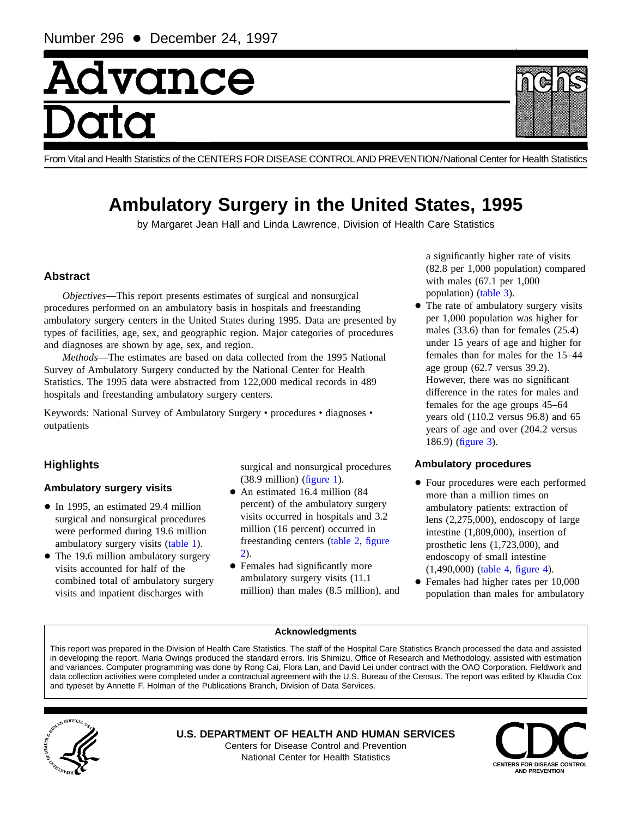# Advance

From Vital and Health Statistics of the CENTERS FOR DISEASE CONTROLAND PREVENTION/National Center for Health Statistics

# **Ambulatory Surgery in the United States, 1995**

by Margaret Jean Hall and Linda Lawrence, Division of Health Care Statistics

# **Abstract**

*Objectives*—This report presents estimates of surgical and nonsurgical procedures performed on an ambulatory basis in hospitals and freestanding ambulatory surgery centers in the United States during 1995. Data are presented by types of facilities, age, sex, and geographic region. Major categories of procedures and diagnoses are shown by age, sex, and region.

*Methods*—The estimates are based on data collected from the 1995 National Survey of Ambulatory Surgery conducted by the National Center for Health Statistics. The 1995 data were abstracted from 122,000 medical records in 489 hospitals and freestanding ambulatory surgery centers.

Keywords: National Survey of Ambulatory Surgery • procedures • diagnoses • outpatients

# **Highlights**

# **Ambulatory surgery visits**

- In 1995, an estimated 29.4 million surgical and nonsurgical procedures were performed during 19.6 million ambulatory surgery visit[s \(table 1\).](#page-1-0)
- The 19.6 million ambulatory surgery visits accounted for half of the combined total of ambulatory surgery visits and inpatient discharges with

surgical and nonsurgical procedures  $(38.9 \text{ million})$  (figure 1).

- An estimated 16.4 million (84 percent) of the ambulatory surgery visits occurred in hospitals and 3.2 million (16 percent) occurred in [frees](#page-2-0)tanding cente[rs \(table 2,](#page-1-0) [figure](#page-2-0) 2).
- Females had significantly more ambulatory surgery visits (11.1 million) than males (8.5 million), and

a significantly higher rate of visits (82.8 per 1,000 population) compared with males (67.1 per 1,000 population[\) \(table 3\).](#page-3-0)

• The rate of ambulatory surgery visits per 1,000 population was higher for males (33.6) than for females (25.4) under 15 years of age and higher for females than for males for the 15–44 age group (62.7 versus 39.2). However, there was no significant difference in the rates for males and females for the age groups 45–64 years old (110.2 versus 96.8) and 65 years of age and over (204.2 versus 186.9[\) \(figure 3\).](#page-4-0)

# **Ambulatory procedures**

- $\bullet$  Four procedures were each performed more than a million times on ambulatory patients: extraction of lens (2,275,000), endoscopy of large intestine (1,809,000), insertion of prosthetic lens (1,723,000), and endoscopy of small intestine (1,490,000[\) \(table 4,](#page-6-0) [figure 4\).](#page-5-0)
- Females had higher rates per 10,000 population than males for ambulatory

#### **Acknowledgments**

This report was prepared in the Division of Health Care Statistics. The staff of the Hospital Care Statistics Branch processed the data and assisted in developing the report. Maria Owings produced the standard errors. Iris Shimizu, Office of Research and Methodology, assisted with estimation and variances. Computer programming was done by Rong Cai, Flora Lan, and David Lei under contract with the OAO Corporation. Fieldwork and data collection activities were completed under a contractual agreement with the U.S. Bureau of the Census. The report was edited by Klaudia Cox and typeset by Annette F. Holman of the Publications Branch, Division of Data Services.



**U.S. DEPARTMENT OF HEALTH AND HUMAN SERVICES** Centers for Disease Control and Prevention **National Center for Health Statistics CENTERS FOR DISEASE CONTROL** 



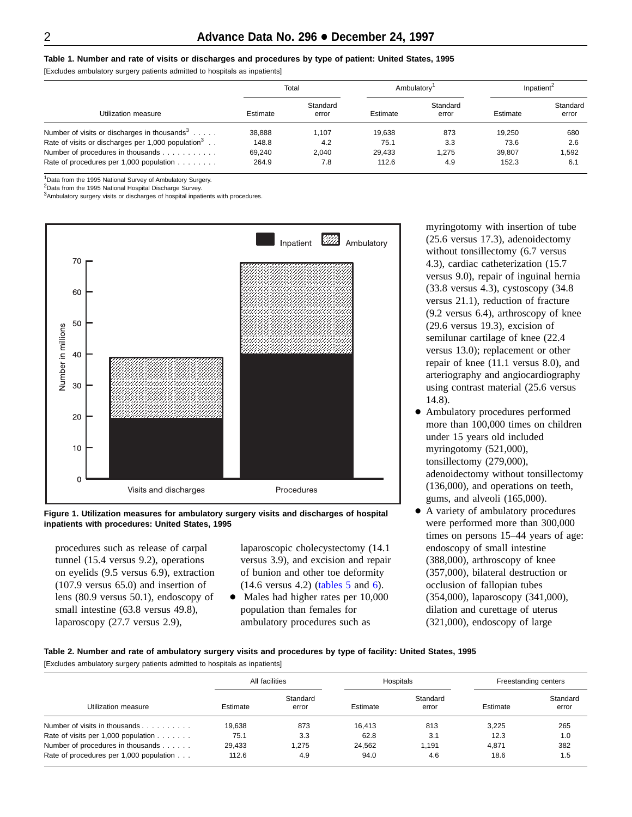#### <span id="page-1-0"></span>**Table 1. Number and rate of visits or discharges and procedures by type of patient: United States, 1995**

[Excludes ambulatory surgery patients admitted to hospitals as inpatients]

|                                                                |          | Total             |          | Ambulatory        |          | Inpatient <sup>2</sup> |
|----------------------------------------------------------------|----------|-------------------|----------|-------------------|----------|------------------------|
| Utilization measure                                            | Estimate | Standard<br>error | Estimate | Standard<br>error | Estimate | Standard<br>error      |
| Number of visits or discharges in thousands <sup>3</sup>       | 38,888   | 1.107             | 19.638   | 873               | 19.250   | 680                    |
| Rate of visits or discharges per 1,000 population <sup>3</sup> | 148.8    | 4.2               | 75.1     | 3.3               | 73.6     | 2.6                    |
| Number of procedures in thousands                              | 69.240   | 2.040             | 29.433   | 1.275             | 39.807   | 1.592                  |
| Rate of procedures per 1,000 population                        | 264.9    | 7.8               | 112.6    | 4.9               | 152.3    | 6.1                    |

<sup>1</sup>Data from the 1995 National Survey of Ambulatory Surgery.

<sup>2</sup> Data from the 1995 National Hospital Discharge Survey.

<sup>3</sup>Ambulatory surgery visits or discharges of hospital inpatients with procedures.



**Figure 1. Utilization measures for ambulatory surgery visits and discharges of hospital inpatients with procedures: United States, 1995**

procedures such as release of carpal tunnel (15.4 versus 9.2), operations on eyelids (9.5 versus 6.9), extraction (107.9 versus 65.0) and insertion of lens (80.9 versus 50.1), endoscopy of small intestine (63.8 versus 49.8), laparoscopy (27.7 versus 2.9),

laparoscopic cholecystectomy (14.1 versus 3.9), and excision and repair of bunion and other toe deformity (14.6 versus 4.2) [\(tables 5](#page-7-0) and 6).

• Males had higher rates per 1[0,000](#page-8-0) population than females for ambulatory procedures such as

myringotomy with insertion of tube (25.6 versus 17.3), adenoidectomy without tonsillectomy (6.7 versus 4.3), cardiac catheterization (15.7 versus 9.0), repair of inguinal hernia (33.8 versus 4.3), cystoscopy (34.8 versus 21.1), reduction of fracture (9.2 versus 6.4), arthroscopy of knee (29.6 versus 19.3), excision of semilunar cartilage of knee (22.4 versus 13.0); replacement or other repair of knee (11.1 versus 8.0), and arteriography and angiocardiography using contrast material (25.6 versus 14.8).

- + Ambulatory procedures performed more than 100,000 times on children under 15 years old included myringotomy (521,000), tonsillectomy (279,000), adenoidectomy without tonsillectomy (136,000), and operations on teeth, gums, and alveoli (165,000).
- A variety of ambulatory procedures were performed more than 300,000 times on persons 15–44 years of age: endoscopy of small intestine (388,000), arthroscopy of knee (357,000), bilateral destruction or occlusion of fallopian tubes (354,000), laparoscopy (341,000), dilation and curettage of uterus (321,000), endoscopy of large

# **Table 2. Number and rate of ambulatory surgery visits and procedures by type of facility: United States, 1995**

[Excludes ambulatory surgery patients admitted to hospitals as inpatients]

|                                              |          | All facilities    |          | Hospitals         |          | Freestanding centers |
|----------------------------------------------|----------|-------------------|----------|-------------------|----------|----------------------|
| Utilization measure                          | Estimate | Standard<br>error | Estimate | Standard<br>error | Estimate | Standard<br>error    |
| Number of visits in thousands                | 19.638   | 873               | 16.413   | 813               | 3.225    | 265                  |
| Rate of visits per 1,000 population $\ldots$ | 75.1     | 3.3               | 62.8     | 3.1               | 12.3     | 1.0                  |
| Number of procedures in thousands            | 29.433   | 1.275             | 24.562   | 1.191             | 4.871    | 382                  |
| Rate of procedures per 1,000 population      | 112.6    | 4.9               | 94.0     | 4.6               | 18.6     | 1.5                  |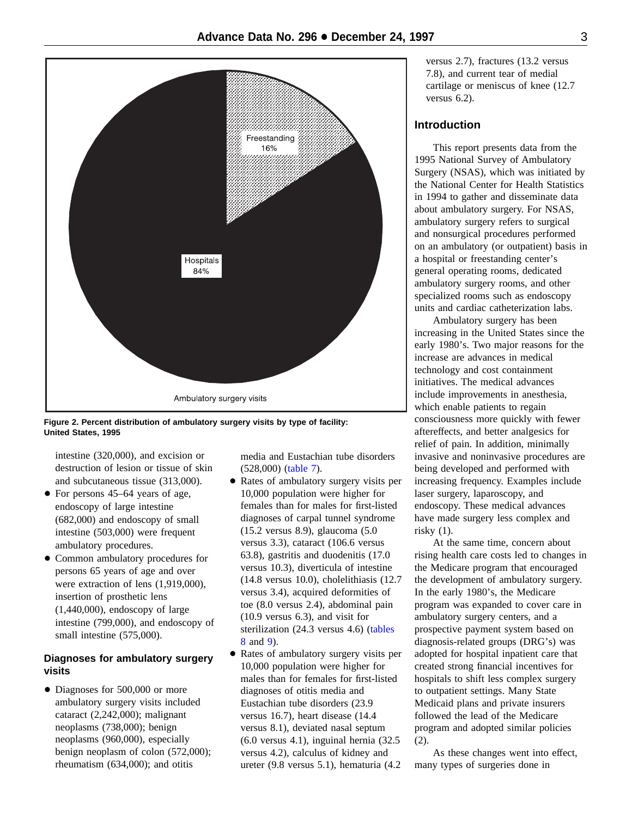<span id="page-2-0"></span>

**Figure 2. Percent distribution of ambulatory surgery visits by type of facility: United States, 1995**

intestine (320,000), and excision or destruction of lesion or tissue of skin and subcutaneous tissue (313,000).

- For persons 45–64 years of age, endoscopy of large intestine (682,000) and endoscopy of small intestine (503,000) were frequent ambulatory procedures.
- Common ambulatory procedures for persons 65 years of age and over were extraction of lens (1,919,000), insertion of prosthetic lens  $(1,440,000)$ , endoscopy of large intestine (799,000), and endoscopy of small intestine (575,000).

# **Diagnoses for ambulatory surgery visits**

• Diagnoses for 500,000 or more ambulatory surgery visits included cataract (2,242,000); malignant neoplasms (738,000); benign neoplasms (960,000), especially benign neoplasm of colon (572,000); rheumatism (634,000); and otitis

media and Eustachian tube disorders (528,000[\) \(table 7\).](#page-9-0)

- Rates of ambulatory surgery visits per 10,000 population were higher for females than for males for first-listed diagnoses of carpal tunnel syndrome (15.2 versus 8.9), glaucoma (5.0 versus 3.3), cataract (106.6 versus 63.8), gastritis and duodenitis (17.0 versus 10.3), diverticula of intestine (14.8 versus 10.0), cholelithiasis (12.7 versus 3.4), acquired deformities of toe (8.0 versus 2.4), abdominal pain (10.9 versus 6.3), and visit for sterilization (24.3 versus 4.6) [\(tables](#page-10-0) 8 and 9).
- [Ra](#page-10-0)[tes](#page-11-0) [of](#page-11-0) [am](#page-11-0)bulatory surgery visits per 10,000 population were higher for males than for females for first-listed diagnoses of otitis media and Eustachian tube disorders (23.9 versus 16.7), heart disease (14.4 versus 8.1), deviated nasal septum (6.0 versus 4.1), inguinal hernia (32.5 versus 4.2), calculus of kidney and ureter (9.8 versus 5.1), hematuria (4.2

versus 2.7), fractures (13.2 versus 7.8), and current tear of medial cartilage or meniscus of knee (12.7 versus 6.2).

# **Introduction**

This report presents data from the 1995 National Survey of Ambulatory Surgery (NSAS), which was initiated by the National Center for Health Statistics in 1994 to gather and disseminate data about ambulatory surgery. For NSAS, ambulatory surgery refers to surgical and nonsurgical procedures performed on an ambulatory (or outpatient) basis in a hospital or freestanding center's general operating rooms, dedicated ambulatory surgery rooms, and other specialized rooms such as endoscopy units and cardiac catheterization labs.

Ambulatory surgery has been increasing in the United States since the early 1980's. Two major reasons for the increase are advances in medical technology and cost containment initiatives. The medical advances include improvements in anesthesia, which enable patients to regain consciousness more quickly with fewer aftereffects, and better analgesics for relief of pain. In addition, minimally invasive and noninvasive procedures are being developed and performed with increasing frequency. Examples include laser surgery, laparoscopy, and endoscopy. These medical advances have made surgery less complex and risky (1).

At the same time, concern about rising health care costs led to changes in the Medicare program that encouraged the development of ambulatory surgery. In the early 1980's, the Medicare program was expanded to cover care in ambulatory surgery centers, and a prospective payment system based on diagnosis-related groups (DRG's) was adopted for hospital inpatient care that created strong financial incentives for hospitals to shift less complex surgery to outpatient settings. Many State Medicaid plans and private insurers followed the lead of the Medicare program and adopted similar policies (2).

As these changes went into effect, many types of surgeries done in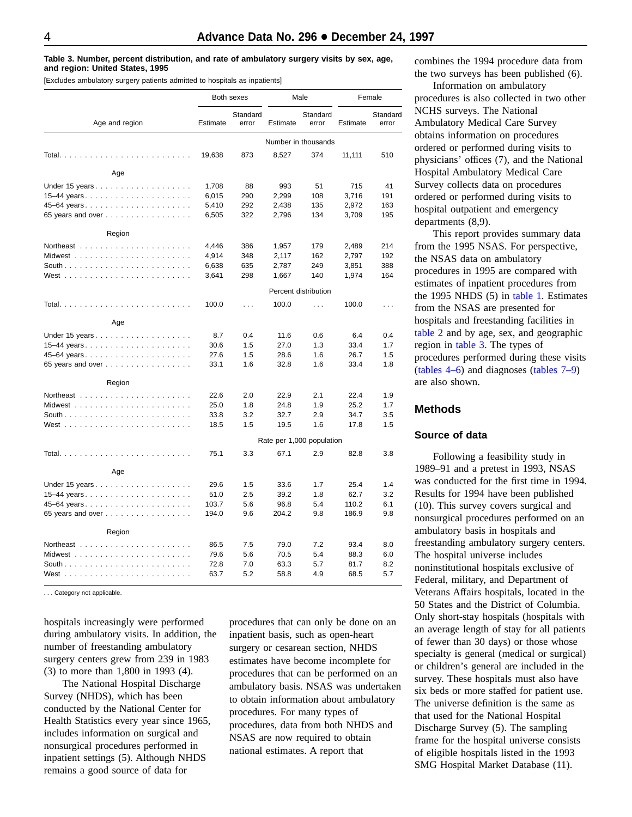#### <span id="page-3-0"></span>**Table 3. Number, percent distribution, and rate of ambulatory surgery visits by sex, age, and region: United States, 1995**

[Excludes ambulatory surgery patients admitted to hospitals as inpatients]

|                        |          | Both sexes        |                           | Male                 | Female   |                   |  |
|------------------------|----------|-------------------|---------------------------|----------------------|----------|-------------------|--|
| Age and region         | Estimate | Standard<br>error | Estimate                  | Standard<br>error    | Estimate | Standard<br>error |  |
|                        |          |                   | Number in thousands       |                      |          |                   |  |
|                        | 19,638   | 873               | 8,527                     | 374                  | 11,111   | 510               |  |
| Age                    |          |                   |                           |                      |          |                   |  |
|                        | 1,708    | 88                | 993                       | 51                   | 715      | 41                |  |
|                        | 6,015    | 290               | 2,299                     | 108                  | 3,716    | 191               |  |
| 45–64 years            | 5,410    | 292               | 2,438                     | 135                  | 2,972    | 163               |  |
| 65 years and over      | 6,505    | 322               | 2,796                     | 134                  | 3,709    | 195               |  |
| Region                 |          |                   |                           |                      |          |                   |  |
|                        | 4,446    | 386               | 1,957                     | 179                  | 2,489    | 214               |  |
|                        | 4,914    | 348               | 2,117                     | 162                  | 2,797    | 192               |  |
|                        | 6,638    | 635               | 2,787                     | 249                  | 3,851    | 388               |  |
|                        | 3,641    | 298               | 1,667                     | 140                  | 1,974    | 164               |  |
|                        |          |                   |                           | Percent distribution |          |                   |  |
| Total                  | 100.0    | $\ldots$          | 100.0                     | $\sim 100$           | 100.0    | $\sim$            |  |
| Age                    |          |                   |                           |                      |          |                   |  |
|                        | 8.7      | 0.4               | 11.6                      | 0.6                  | 6.4      | 0.4               |  |
|                        | 30.6     | 1.5               | 27.0                      | 1.3                  | 33.4     | 1.7               |  |
| 45–64 years            | 27.6     | 1.5               | 28.6                      | 1.6                  | 26.7     | 1.5               |  |
| 65 years and over      | 33.1     | 1.6               | 32.8                      | 1.6                  | 33.4     | 1.8               |  |
| Region                 |          |                   |                           |                      |          |                   |  |
|                        | 22.6     | 2.0               | 22.9                      | 2.1                  | 22.4     | 1.9               |  |
|                        | 25.0     | 1.8               | 24.8                      | 1.9                  | 25.2     | 1.7               |  |
|                        | 33.8     | 3.2               | 32.7                      | 2.9                  | 34.7     | 3.5               |  |
|                        | 18.5     | 1.5               | 19.5                      | 1.6                  | 17.8     | 1.5               |  |
|                        |          |                   | Rate per 1,000 population |                      |          |                   |  |
|                        | 75.1     | 3.3               | 67.1                      | 2.9                  | 82.8     | 3.8               |  |
| Age                    |          |                   |                           |                      |          |                   |  |
| Under 15 years $\dots$ | 29.6     | 1.5               | 33.6                      | 1.7                  | 25.4     | 1.4               |  |
|                        | 51.0     | 2.5               | 39.2                      | 1.8                  | 62.7     | 3.2               |  |
|                        | 103.7    | 5.6               | 96.8                      | 5.4                  | 110.2    | 6.1               |  |
| 65 years and over      | 194.0    | 9.6               | 204.2                     | 9.8                  | 186.9    | 9.8               |  |
| Region                 |          |                   |                           |                      |          |                   |  |
|                        | 86.5     | 7.5               | 79.0                      | 7.2                  | 93.4     | 8.0               |  |
|                        | 79.6     | 5.6               | 70.5                      | 5.4                  | 88.3     | 6.0               |  |
|                        | 72.8     | 7.0               | 63.3                      | 5.7                  | 81.7     | 8.2               |  |
| West                   | 63.7     | 5.2               | 58.8                      | 4.9                  | 68.5     | 5.7               |  |

. . . Category not applicable.

hospitals increasingly were performed during ambulatory visits. In addition, the number of freestanding ambulatory surgery centers grew from 239 in 1983 (3) to more than 1,800 in 1993 (4).

The National Hospital Discharge Survey (NHDS), which has been conducted by the National Center for Health Statistics every year since 1965, includes information on surgical and nonsurgical procedures performed in inpatient settings (5). Although NHDS remains a good source of data for

procedures that can only be done on an inpatient basis, such as open-heart surgery or cesarean section, NHDS estimates have become incomplete for procedures that can be performed on an ambulatory basis. NSAS was undertaken to obtain information about ambulatory procedures. For many types of procedures, data from both NHDS and NSAS are now required to obtain national estimates. A report that

combines the 1994 procedure data from the two surveys has been published (6).

Information on ambulatory procedures is also collected in two other NCHS surveys. The National Ambulatory Medical Care Survey obtains information on procedures ordered or performed during visits to physicians' offices (7), and the National Hospital Ambulatory Medical Care Survey collects data on procedures ordered or performed during visits to hospital outpatient and emergency departments (8,9).

This report provides summary data from the 1995 NSAS. For perspective, the NSAS data on ambulatory procedures in 1995 are compared with estimates of inpatient procedures from the 1995 NHDS (5) in table 1. Estimates from the NSAS are [presented fo](#page-1-0)r hospitals and freestanding facilities in [table 2](#page-1-0) and by age, sex, and geographic region in table 3. The types of procedures performed during these visits [\(tables 4–6\) a](#page-6-0)nd diagnose[s \(tables 7–9\)](#page-9-0) are also shown.

# **Methods**

#### **Source of data**

Following a feasibility study in 1989–91 and a pretest in 1993, NSAS was conducted for the first time in 1994. Results for 1994 have been published (10). This survey covers surgical and nonsurgical procedures performed on an ambulatory basis in hospitals and freestanding ambulatory surgery centers. The hospital universe includes noninstitutional hospitals exclusive of Federal, military, and Department of Veterans Affairs hospitals, located in the 50 States and the District of Columbia. Only short-stay hospitals (hospitals with an average length of stay for all patients of fewer than 30 days) or those whose specialty is general (medical or surgical) or children's general are included in the survey. These hospitals must also have six beds or more staffed for patient use. The universe definition is the same as that used for the National Hospital Discharge Survey (5). The sampling frame for the hospital universe consists of eligible hospitals listed in the 1993 SMG Hospital Market Database (11).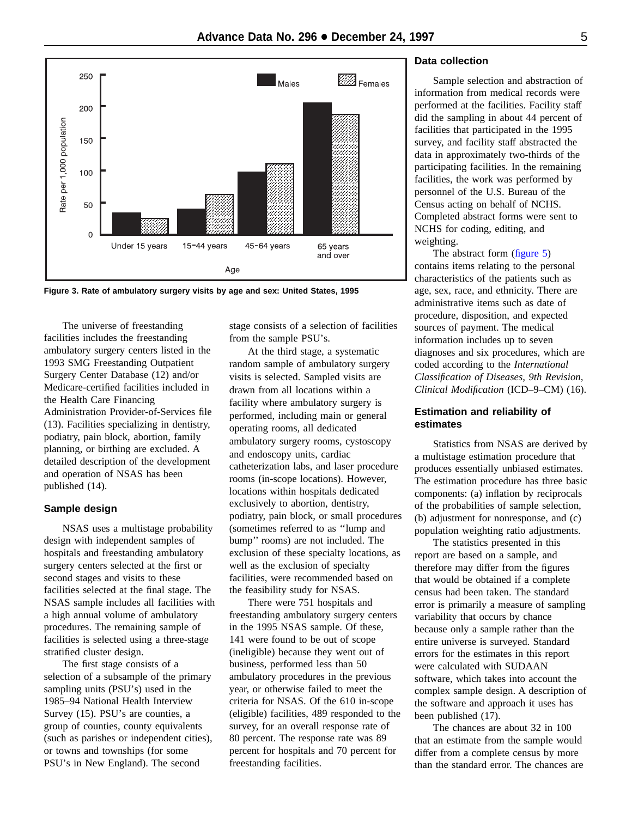<span id="page-4-0"></span>

**Figure 3. Rate of ambulatory surgery visits by age and sex: United States, 1995**

The universe of freestanding facilities includes the freestanding ambulatory surgery centers listed in the 1993 SMG Freestanding Outpatient Surgery Center Database (12) and/or Medicare-certified facilities included in the Health Care Financing Administration Provider-of-Services file (13). Facilities specializing in dentistry, podiatry, pain block, abortion, family planning, or birthing are excluded. A detailed description of the development and operation of NSAS has been published (14).

### **Sample design**

NSAS uses a multistage probability design with independent samples of hospitals and freestanding ambulatory surgery centers selected at the first or second stages and visits to these facilities selected at the final stage. The NSAS sample includes all facilities with a high annual volume of ambulatory procedures. The remaining sample of facilities is selected using a three-stage stratified cluster design.

The first stage consists of a selection of a subsample of the primary sampling units (PSU's) used in the 1985–94 National Health Interview Survey (15). PSU's are counties, a group of counties, county equivalents (such as parishes or independent cities), or towns and townships (for some PSU's in New England). The second

stage consists of a selection of facilities from the sample PSU's.

At the third stage, a systematic random sample of ambulatory surgery visits is selected. Sampled visits are drawn from all locations within a facility where ambulatory surgery is performed, including main or general operating rooms, all dedicated ambulatory surgery rooms, cystoscopy and endoscopy units, cardiac catheterization labs, and laser procedure rooms (in-scope locations). However, locations within hospitals dedicated exclusively to abortion, dentistry, podiatry, pain block, or small procedures (sometimes referred to as ''lump and bump'' rooms) are not included. The exclusion of these specialty locations, as well as the exclusion of specialty facilities, were recommended based on the feasibility study for NSAS.

There were 751 hospitals and freestanding ambulatory surgery centers in the 1995 NSAS sample. Of these, 141 were found to be out of scope (ineligible) because they went out of business, performed less than 50 ambulatory procedures in the previous year, or otherwise failed to meet the criteria for NSAS. Of the 610 in-scope (eligible) facilities, 489 responded to the survey, for an overall response rate of 80 percent. The response rate was 89 percent for hospitals and 70 percent for freestanding facilities.

# **Data collection**

Sample selection and abstraction of information from medical records were performed at the facilities. Facility staff did the sampling in about 44 percent of facilities that participated in the 1995 survey, and facility staff abstracted the data in approximately two-thirds of the participating facilities. In the remaining facilities, the work was performed by personnel of the U.S. Bureau of the Census acting on behalf of NCHS. Completed abstract forms were sent to NCHS for coding, editing, and weighting.

The abstract form (figure 5) contains items relatin[g to the perso](#page-12-0)nal characteristics of the patients such as age, sex, race, and ethnicity. There are administrative items such as date of procedure, disposition, and expected sources of payment. The medical information includes up to seven diagnoses and six procedures, which are coded according to the *International Classification of Diseases, 9th Revision, Clinical Modification* (ICD–9–CM) (16).

# **Estimation and reliability of estimates**

Statistics from NSAS are derived by a multistage estimation procedure that produces essentially unbiased estimates. The estimation procedure has three basic components: (a) inflation by reciprocals of the probabilities of sample selection, (b) adjustment for nonresponse, and (c) population weighting ratio adjustments.

The statistics presented in this report are based on a sample, and therefore may differ from the figures that would be obtained if a complete census had been taken. The standard error is primarily a measure of sampling variability that occurs by chance because only a sample rather than the entire universe is surveyed. Standard errors for the estimates in this report were calculated with SUDAAN software, which takes into account the complex sample design. A description of the software and approach it uses has been published (17).

The chances are about 32 in 100 that an estimate from the sample would differ from a complete census by more than the standard error. The chances are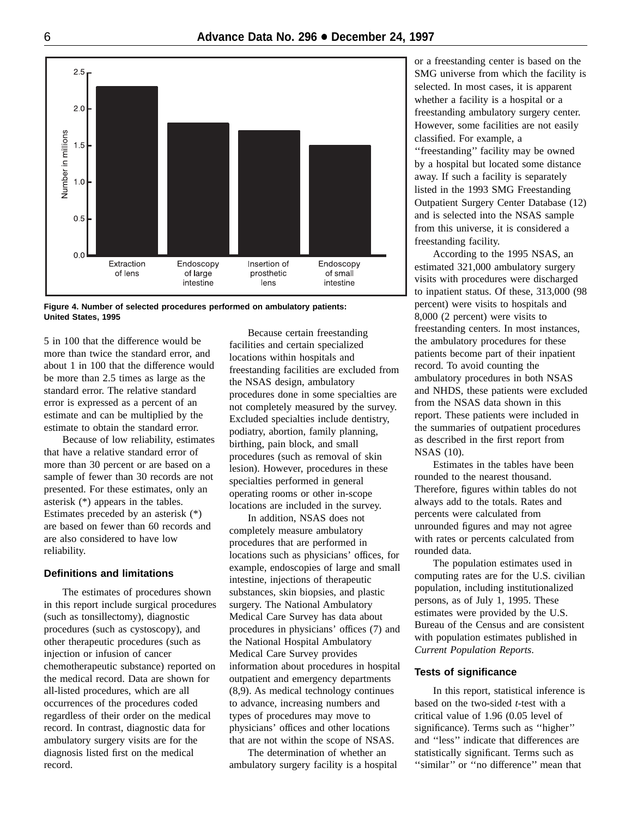<span id="page-5-0"></span>

**Figure 4. Number of selected procedures performed on ambulatory patients: United States, 1995**

5 in 100 that the difference would be more than twice the standard error, and about 1 in 100 that the difference would be more than 2.5 times as large as the standard error. The relative standard error is expressed as a percent of an estimate and can be multiplied by the estimate to obtain the standard error.

Because of low reliability, estimates that have a relative standard error of more than 30 percent or are based on a sample of fewer than 30 records are not presented. For these estimates, only an asterisk (\*) appears in the tables. Estimates preceded by an asterisk (\*) are based on fewer than 60 records and are also considered to have low reliability.

# **Definitions and limitations**

The estimates of procedures shown in this report include surgical procedures (such as tonsillectomy), diagnostic procedures (such as cystoscopy), and other therapeutic procedures (such as injection or infusion of cancer chemotherapeutic substance) reported on the medical record. Data are shown for all-listed procedures, which are all occurrences of the procedures coded regardless of their order on the medical record. In contrast, diagnostic data for ambulatory surgery visits are for the diagnosis listed first on the medical record.

Because certain freestanding facilities and certain specialized locations within hospitals and freestanding facilities are excluded from the NSAS design, ambulatory procedures done in some specialties are not completely measured by the survey. Excluded specialties include dentistry, podiatry, abortion, family planning, birthing, pain block, and small procedures (such as removal of skin lesion). However, procedures in these specialties performed in general operating rooms or other in-scope locations are included in the survey.

In addition, NSAS does not completely measure ambulatory procedures that are performed in locations such as physicians' offices, for example, endoscopies of large and small intestine, injections of therapeutic substances, skin biopsies, and plastic surgery. The National Ambulatory Medical Care Survey has data about procedures in physicians' offices (7) and the National Hospital Ambulatory Medical Care Survey provides information about procedures in hospital outpatient and emergency departments (8,9). As medical technology continues to advance, increasing numbers and types of procedures may move to physicians' offices and other locations that are not within the scope of NSAS.

The determination of whether an ambulatory surgery facility is a hospital

or a freestanding center is based on the SMG universe from which the facility is selected. In most cases, it is apparent whether a facility is a hospital or a freestanding ambulatory surgery center. However, some facilities are not easily classified. For example, a ''freestanding'' facility may be owned

by a hospital but located some distance away. If such a facility is separately listed in the 1993 SMG Freestanding Outpatient Surgery Center Database (12) and is selected into the NSAS sample from this universe, it is considered a freestanding facility.

According to the 1995 NSAS, an estimated 321,000 ambulatory surgery visits with procedures were discharged to inpatient status. Of these, 313,000 (98 percent) were visits to hospitals and 8,000 (2 percent) were visits to freestanding centers. In most instances, the ambulatory procedures for these patients become part of their inpatient record. To avoid counting the ambulatory procedures in both NSAS and NHDS, these patients were excluded from the NSAS data shown in this report. These patients were included in the summaries of outpatient procedures as described in the first report from NSAS (10).

Estimates in the tables have been rounded to the nearest thousand. Therefore, figures within tables do not always add to the totals. Rates and percents were calculated from unrounded figures and may not agree with rates or percents calculated from rounded data.

The population estimates used in computing rates are for the U.S. civilian population, including institutionalized persons, as of July 1, 1995. These estimates were provided by the U.S. Bureau of the Census and are consistent with population estimates published in *Current Population Reports*.

#### **Tests of significance**

In this report, statistical inference is based on the two-sided *t*-test with a critical value of 1.96 (0.05 level of significance). Terms such as ''higher'' and ''less'' indicate that differences are statistically significant. Terms such as "similar" or "no difference" mean that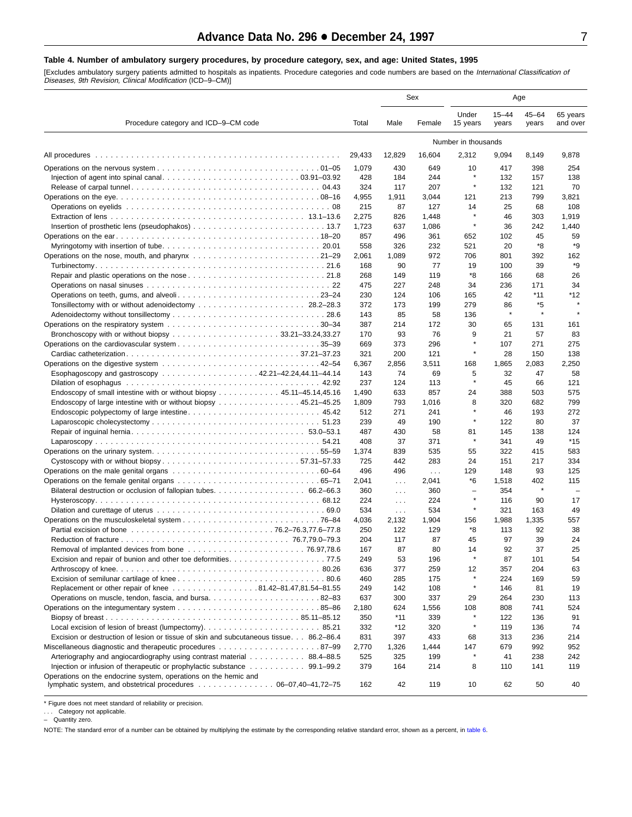#### <span id="page-6-0"></span>**Table 4. Number of ambulatory surgery procedures, by procedure category, sex, and age: United States, 1995**

[Excludes ambulatory surgery patients admitted to hospitals as inpatients. Procedure categories and code numbers are based on the *International Classification of*<br>*Diseases, 9th Revision, Clinical Modification* (ICD–9–CM)

|                                                                                                                                                                                                                                                |              | Sex                  |                      |                                     | Age                |                     |                          |  |
|------------------------------------------------------------------------------------------------------------------------------------------------------------------------------------------------------------------------------------------------|--------------|----------------------|----------------------|-------------------------------------|--------------------|---------------------|--------------------------|--|
| Procedure category and ICD-9-CM code                                                                                                                                                                                                           | Total        | Male                 | Female               | Under<br>15 years                   | $15 - 44$<br>years | $45 - 64$<br>years  | 65 years<br>and over     |  |
| All procedures<br>Operations on the nose, mouth, and pharynx 21–29<br>Operations on teeth, gums, and alveoli23–24<br>Bronchoscopy with or without biopsy 33.21–33.24,33.27<br>Bilateral destruction or occlusion of fallopian tubes. 66.2–66.3 |              |                      |                      | Number in thousands                 |                    |                     |                          |  |
|                                                                                                                                                                                                                                                | 29,433       | 12,829               | 16,604               | 2,312                               | 9,094              | 8,149               | 9,878                    |  |
|                                                                                                                                                                                                                                                | 1,079        | 430                  | 649                  | 10                                  | 417                | 398                 | 254                      |  |
|                                                                                                                                                                                                                                                | 428          | 184                  | 244                  |                                     | 132                | 157                 | 138                      |  |
|                                                                                                                                                                                                                                                | 324          | 117                  | 207                  | $\star$                             | 132                | 121                 | 70                       |  |
|                                                                                                                                                                                                                                                | 4,955        | 1,911                | 3,044                | 121                                 | 213                | 799                 | 3,821                    |  |
|                                                                                                                                                                                                                                                | 215          | 87                   | 127                  | 14                                  | 25                 | 68                  | 108                      |  |
|                                                                                                                                                                                                                                                | 2,275        | 826                  | 1,448                | $\pmb{\ast}$                        | 46                 | 303                 | 1,919                    |  |
|                                                                                                                                                                                                                                                | 1,723        | 637                  | 1,086                | $\star$                             | 36                 | 242                 | 1,440                    |  |
|                                                                                                                                                                                                                                                | 857          | 496                  | 361                  | 652                                 | 102                | 45                  | 59                       |  |
|                                                                                                                                                                                                                                                | 558          | 326                  | 232                  | 521                                 | 20                 | *8                  | *9                       |  |
|                                                                                                                                                                                                                                                | 2,061        | 1,089                | 972                  | 706                                 | 801                | 392                 | 162<br>*9                |  |
|                                                                                                                                                                                                                                                | 168          | 90                   | 77                   | 19<br>*8                            | 100                | 39<br>68            |                          |  |
|                                                                                                                                                                                                                                                | 268<br>475   | 149<br>227           | 119<br>248           | 34                                  | 166<br>236         | 171                 | 26<br>34                 |  |
|                                                                                                                                                                                                                                                | 230          | 124                  | 106                  | 165                                 | 42                 | *11                 | *12                      |  |
|                                                                                                                                                                                                                                                | 372          | 173                  | 199                  | 279                                 | 86                 | *5                  | $\star$                  |  |
|                                                                                                                                                                                                                                                | 143          | 85                   | 58                   | 136                                 | $\star$            | $\star$             |                          |  |
|                                                                                                                                                                                                                                                | 387          | 214                  | 172                  | 30                                  | 65                 | 131                 | 161                      |  |
|                                                                                                                                                                                                                                                | 170          | 93                   | 76                   | 9                                   | 21                 | 57                  | 83                       |  |
|                                                                                                                                                                                                                                                | 669          | 373                  | 296                  | $\star$                             | 107                | 271                 | 275                      |  |
|                                                                                                                                                                                                                                                | 321          | 200                  | 121                  | $\star$                             | 28                 | 150                 | 138                      |  |
|                                                                                                                                                                                                                                                | 6,367        | 2,856                | 3,511                | 168                                 | 1,865              | 2,083               | 2,250                    |  |
| Esophagoscopy and gastroscopy 42.21-42.24,44.11-44.14                                                                                                                                                                                          | 143          | 74                   | 69                   | 5                                   | 32                 | 47                  | 58                       |  |
|                                                                                                                                                                                                                                                | 237          | 124                  | 113                  | $\star$                             | 45                 | 66                  | 121                      |  |
| Endoscopy of small intestine with or without biopsy 45.11–45.14,45.16                                                                                                                                                                          | 1,490        | 633                  | 857                  | 24                                  | 388                | 503                 | 575                      |  |
| Endoscopy of large intestine with or without biopsy 45.21–45.25                                                                                                                                                                                | 1,809        | 793                  | 1,016                | 8                                   | 320                | 682                 | 799                      |  |
|                                                                                                                                                                                                                                                | 512          | 271                  | 241                  |                                     | 46                 | 193                 | 272                      |  |
|                                                                                                                                                                                                                                                | 239          | 49                   | 190                  | $\star$                             | 122                | 80                  | 37                       |  |
|                                                                                                                                                                                                                                                | 487          | 430                  | 58                   | 81                                  | 145                | 138                 | 124                      |  |
|                                                                                                                                                                                                                                                | 408          | 37                   | 371                  | $\star$                             | 341                | 49                  | *15                      |  |
|                                                                                                                                                                                                                                                | 1,374        | 839                  | 535                  | 55                                  | 322                | 415                 | 583                      |  |
|                                                                                                                                                                                                                                                | 725          | 442                  | 283                  | 24                                  | 151                | 217                 | 334                      |  |
|                                                                                                                                                                                                                                                | 496          | 496                  | $\sim$ $\sim$ $\sim$ | 129                                 | 148                | 93                  | 125                      |  |
|                                                                                                                                                                                                                                                | 2,041        | $\sim$ $\sim$ $\sim$ | 2,041                | *6                                  | 1,518              | 402<br>$\pmb{\ast}$ | 115                      |  |
|                                                                                                                                                                                                                                                | 360          | $\cdots$             | 360                  | $\overline{\phantom{m}}$<br>$\star$ | 354                |                     | $\overline{\phantom{0}}$ |  |
|                                                                                                                                                                                                                                                | 224          | $\cdots$             | 224                  | $\star$                             | 116                | 90                  | 17                       |  |
|                                                                                                                                                                                                                                                | 534          | $\cdots$             | 534                  |                                     | 321                | 163                 | 49<br>557                |  |
|                                                                                                                                                                                                                                                | 4,036<br>250 | 2,132<br>122         | 1,904<br>129         | 156<br>*8                           | 1,988<br>113       | 1,335<br>92         | 38                       |  |
|                                                                                                                                                                                                                                                | 204          | 117                  | 87                   | 45                                  | 97                 | 39                  | 24                       |  |
|                                                                                                                                                                                                                                                | 167          | 87                   | 80                   | 14                                  | 92                 | 37                  | 25                       |  |
|                                                                                                                                                                                                                                                | 249          | 53                   | 196                  | $\star$                             | 87                 | 101                 | 54                       |  |
|                                                                                                                                                                                                                                                | 636          | 377                  | 259                  | 12                                  | 357                | 204                 | 63                       |  |
|                                                                                                                                                                                                                                                | 460          | 285                  | 175                  | $\star$                             | 224                | 169                 | 59                       |  |
| Replacement or other repair of knee 81.42-81.47,81.54-81.55                                                                                                                                                                                    | 249          | 142                  | 108                  | $\star$                             | 146                | 81                  | 19                       |  |
| Operations on muscle, tendon, fascia, and bursa82–83                                                                                                                                                                                           | 637          | 300                  | 337                  | 29                                  | 264                | 230                 | 113                      |  |
|                                                                                                                                                                                                                                                | 2,180        | 624                  | 1,556                | 108                                 | 808                | 741                 | 524                      |  |
|                                                                                                                                                                                                                                                | 350          | $*11$                | 339                  | $\star$                             | 122                | 136                 | 91                       |  |
|                                                                                                                                                                                                                                                | 332          | *12                  | 320                  | $\star$                             | 119                | 136                 | 74                       |  |
| Excision or destruction of lesion or tissue of skin and subcutaneous tissue. 86.2–86.4                                                                                                                                                         | 831          | 397                  | 433                  | 68                                  | 313                | 236                 | 214                      |  |
|                                                                                                                                                                                                                                                | 2,770        | 1,326                | 1,444                | 147                                 | 679                | 992                 | 952                      |  |
| Arteriography and angiocardiography using contrast material 88.4–88.5                                                                                                                                                                          | 525          | 325                  | 199                  | $\star$                             | 41                 | 238                 | 242                      |  |
|                                                                                                                                                                                                                                                | 379          | 164                  | 214                  | 8                                   | 110                | 141                 | 119                      |  |
| Operations on the endocrine system, operations on the hemic and<br>lymphatic system, and obstetrical procedures $\ldots \ldots \ldots \ldots \ldots 06-07,40-41,72-75$                                                                         | 162          | 42                   | 119                  | 10                                  | 62                 | 50                  | 40                       |  |

\* Figure does not meet standard of reliability or precision.

. . . Category not applicable. – Quantity zero.

NOTE: The standard error of a number can be obtained by multiplying the estimate by the corresponding relative standard error, shown as a percent, in [table 6.](#page-8-0)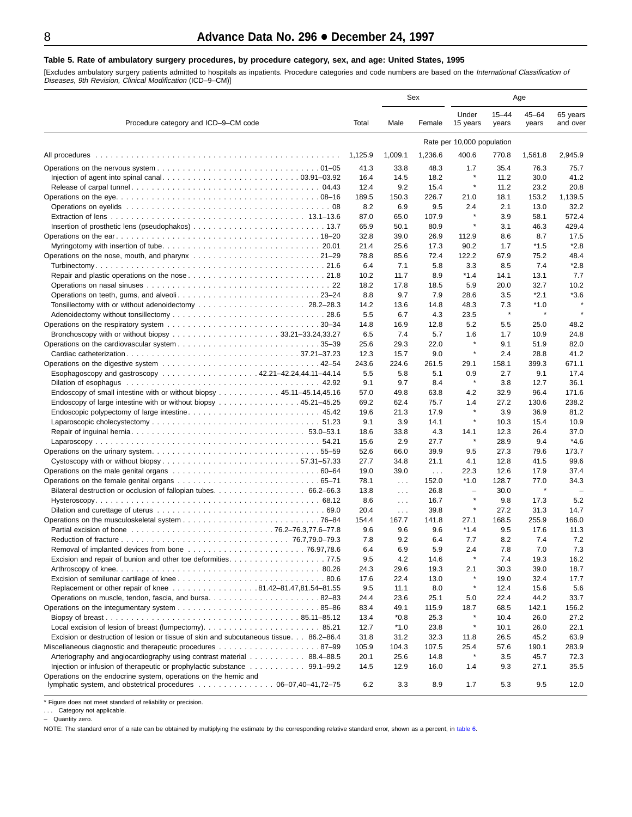#### <span id="page-7-0"></span>**Table 5. Rate of ambulatory surgery procedures, by procedure category, sex, and age: United States, 1995**

[Excludes ambulatory surgery patients admitted to hospitals as inpatients. Procedure categories and code numbers are based on the *International Classification of*<br>*Diseases, 9th Revision, Clinical Modification* (ICD–9–CM)

|                                                                                                                                                                           |             |                   | Sex           |                                     |                    | Age                  |                      |
|---------------------------------------------------------------------------------------------------------------------------------------------------------------------------|-------------|-------------------|---------------|-------------------------------------|--------------------|----------------------|----------------------|
| Procedure category and ICD-9-CM code<br>All procedures                                                                                                                    | Total       | Male              | Female        | Under<br>15 years                   | $15 - 44$<br>years | $45 - 64$<br>years   | 65 years<br>and over |
| Tonsillectomy with or without adenoidectomy  28.2–28.3<br>Cystoscopy with or without biopsy57.31-57.33<br>Operations on the endocrine system, operations on the hemic and |             |                   |               | Rate per 10,000 population          |                    |                      |                      |
|                                                                                                                                                                           | 1,125.9     | 1.009.1           | 1,236.6       | 400.6                               | 770.8              | 1,561.8              | 2,945.9              |
|                                                                                                                                                                           | 41.3        | 33.8              | 48.3          | 1.7                                 | 35.4               | 76.3                 | 75.7                 |
|                                                                                                                                                                           | 16.4        | 14.5              | 18.2          | $\star$                             | 11.2               | 30.0                 | 41.2                 |
|                                                                                                                                                                           | 12.4        | 9.2               | 15.4          | $\star$                             | 11.2               | 23.2                 | 20.8                 |
|                                                                                                                                                                           | 189.5       | 150.3             | 226.7         | 21.0                                | 18.1               | 153.2                | 1,139.5              |
|                                                                                                                                                                           | 8.2         | 6.9               | 9.5           | 2.4                                 | 2.1                | 13.0                 | 32.2                 |
|                                                                                                                                                                           | 87.0        | 65.0              | 107.9         | ×                                   | 3.9                | 58.1                 | 572.4                |
|                                                                                                                                                                           | 65.9        | 50.1              | 80.9          | $\star$                             | 3.1                | 46.3                 | 429.4                |
|                                                                                                                                                                           | 32.8        | 39.0              | 26.9          | 112.9                               | 8.6                | 8.7                  | 17.5                 |
|                                                                                                                                                                           | 21.4        | 25.6              | 17.3          | 90.2                                | 1.7                | $*1.5$               | $*2.8$               |
|                                                                                                                                                                           | 78.8        | 85.6              | 72.4          | 122.2                               | 67.9               | 75.2                 | 48.4                 |
|                                                                                                                                                                           | 6.4         | 7.1               | 5.8           | 3.3                                 | 8.5                | 7.4                  | $*2.8$               |
|                                                                                                                                                                           | 10.2        | 11.7              | 8.9           | $*1.4$                              | 14.1               | 13.1                 | 7.7                  |
|                                                                                                                                                                           | 18.2        | 17.8<br>9.7       | 18.5          | 5.9                                 | 20.0               | 32.7<br>$*2.1$       | 10.2<br>$*3.6$       |
|                                                                                                                                                                           | 8.8<br>14.2 | 13.6              | 7.9<br>14.8   | 28.6<br>48.3                        | 3.5<br>7.3         | $*1.0$               | $\star$              |
|                                                                                                                                                                           | 5.5         | 6.7               | 4.3           | 23.5                                | $\pmb{\ast}$       | $\pmb{\ast}$         |                      |
|                                                                                                                                                                           | 14.8        | 16.9              | 12.8          | 5.2                                 | 5.5                | 25.0                 | 48.2                 |
|                                                                                                                                                                           | 6.5         | 7.4               | 5.7           | 1.6                                 | 1.7                | 10.9                 | 24.8                 |
|                                                                                                                                                                           | 25.6        | 29.3              | 22.0          |                                     | 9.1                | 51.9                 | 82.0                 |
|                                                                                                                                                                           | 12.3        | 15.7              | 9.0           | $\star$                             | 2.4                | 28.8                 | 41.2                 |
|                                                                                                                                                                           | 243.6       | 224.6             | 261.5         | 29.1                                | 158.1              | 399.3                | 671.1                |
| Esophagoscopy and gastroscopy 42.21–42.24,44.11–44.14                                                                                                                     | 5.5         | 5.8               | 5.1           | 0.9                                 | 2.7                | 9.1                  | 17.4                 |
|                                                                                                                                                                           | 9.1         | 9.7               | 8.4           | $\star$                             | 3.8                | 12.7                 | 36.1                 |
| Endoscopy of small intestine with or without biopsy 45.11–45.14,45.16                                                                                                     | 57.0        | 49.8              | 63.8          | 4.2                                 | 32.9               | 96.4                 | 171.6                |
| Endoscopy of large intestine with or without biopsy 45.21–45.25                                                                                                           | 69.2        | 62.4              | 75.7          | 1.4                                 | 27.2               | 130.6                | 238.2                |
|                                                                                                                                                                           | 19.6        | 21.3              | 17.9          | $\star$                             | 3.9                | 36.9                 | 81.2                 |
|                                                                                                                                                                           | 9.1         | 3.9               | 14.1          | $\star$                             | 10.3               | 15.4                 | 10.9                 |
|                                                                                                                                                                           | 18.6        | 33.8              | 4.3           | 14.1                                | 12.3               | 26.4                 | 37.0                 |
|                                                                                                                                                                           | 15.6        | 2.9               | 27.7          | $\star$                             | 28.9               | 9.4                  | $*4.6$               |
|                                                                                                                                                                           | 52.6        | 66.0              | 39.9          | 9.5                                 | 27.3               | 79.6                 | 173.7                |
|                                                                                                                                                                           | 27.7        | 34.8              | 21.1          | 4.1                                 | 12.8               | 41.5                 | 99.6                 |
|                                                                                                                                                                           | 19.0        | 39.0              | $\sim$ $\sim$ | 22.3                                | 12.6               | 17.9                 | 37.4                 |
|                                                                                                                                                                           | 78.1        | $\ldots$          | 152.0         | $*1.0$                              | 128.7              | 77.0<br>$\pmb{\ast}$ | 34.3                 |
|                                                                                                                                                                           | 13.8        | $\sim 100$        | 26.8          | $\overline{\phantom{a}}$<br>$\star$ | 30.0               |                      |                      |
|                                                                                                                                                                           | 8.6<br>20.4 | $\ldots$ .        | 16.7<br>39.8  | $\star$                             | 9.8<br>27.2        | 17.3                 | 5.2<br>14.7          |
|                                                                                                                                                                           | 154.4       | $\cdots$<br>167.7 | 141.8         | 27.1                                | 168.5              | 31.3<br>255.9        | 166.0                |
|                                                                                                                                                                           | 9.6         | 9.6               | 9.6           | $*1.4$                              | 9.5                | 17.6                 | 11.3                 |
|                                                                                                                                                                           | 7.8         | 9.2               | 6.4           | 7.7                                 | 8.2                | 7.4                  | 7.2                  |
|                                                                                                                                                                           | 6.4         | 6.9               | 5.9           | 2.4                                 | 7.8                | 7.0                  | 7.3                  |
|                                                                                                                                                                           | 9.5         | 4.2               | 14.6          | $\star$                             | 7.4                | 19.3                 | 16.2                 |
|                                                                                                                                                                           | 24.3        | 29.6              | 19.3          | 2.1                                 | 30.3               | 39.0                 | 18.7                 |
|                                                                                                                                                                           | 17.6        | 22.4              | 13.0          | $\star$                             | 19.0               | 32.4                 | 17.7                 |
| Replacement or other repair of knee 81.42-81.47,81.54-81.55                                                                                                               | 9.5         | 11.1              | 8.0           | $\star$                             | 12.4               | 15.6                 | 5.6                  |
| Operations on muscle, tendon, fascia, and bursa82–83                                                                                                                      | 24.4        | 23.6              | 25.1          | 5.0                                 | 22.4               | 44.2                 | 33.7                 |
|                                                                                                                                                                           | 83.4        | 49.1              | 115.9         | 18.7                                | 68.5               | 142.1                | 156.2                |
|                                                                                                                                                                           | 13.4        | $*0.8$            | 25.3          | $\star$                             | 10.4               | 26.0                 | 27.2                 |
|                                                                                                                                                                           | 12.7        | $*1.0$            | 23.8          | $\star$                             | 10.1               | 26.0                 | 22.1                 |
| Excision or destruction of lesion or tissue of skin and subcutaneous tissue. 86.2–86.4                                                                                    | 31.8        | 31.2              | 32.3          | 11.8                                | 26.5               | 45.2                 | 63.9                 |
|                                                                                                                                                                           | 105.9       | 104.3             | 107.5         | 25.4                                | 57.6               | 190.1                | 283.9                |
| Arteriography and angiocardiography using contrast material 88.4–88.5                                                                                                     | 20.1        | 25.6              | 14.8          | $\star$                             | 3.5                | 45.7                 | 72.3                 |
|                                                                                                                                                                           | 14.5        | 12.9              | 16.0          | 1.4                                 | 9.3                | 27.1                 | 35.5                 |
| lymphatic system, and obstetrical procedures 06–07,40–41,72–75                                                                                                            | 6.2         | 3.3               | 8.9           | 1.7                                 | 5.3                | 9.5                  | 12.0                 |

\* Figure does not meet standard of reliability or precision.

. . . Category not applicable. – Quantity zero.

NOTE: The standard error of a rate can be obtained by multiplying the estimate by the corresponding relative standard error, shown as a percent, in [table 6.](#page-8-0)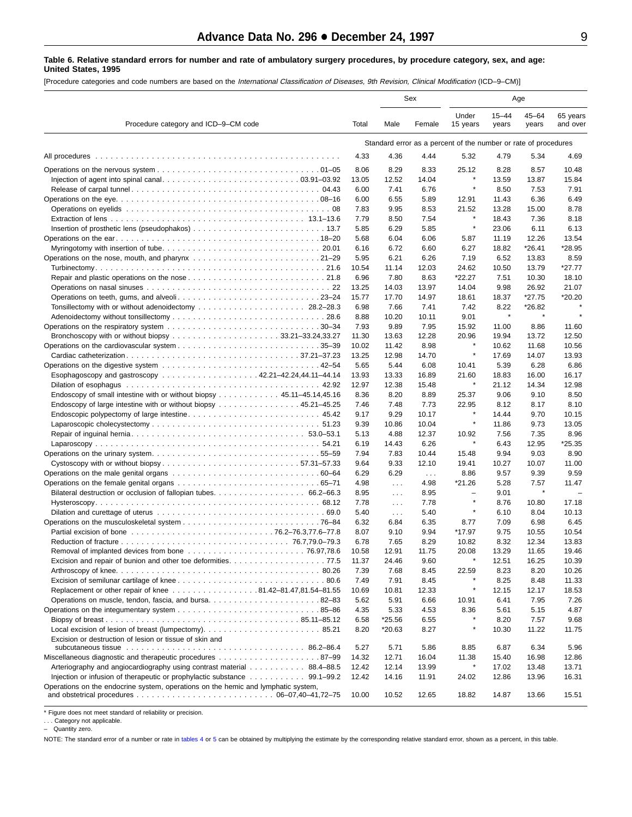#### <span id="page-8-0"></span>**Table 6. Relative standard errors for number and rate of ambulatory surgery procedures, by procedure category, sex, and age: United States, 1995**

[Procedure categories and code numbers are based on the International Classification of Diseases, 9th Revision, Clinical Modification (ICD–9–CM)]

|                                                                                                                                    |               |                          | Sex           |                                     |                                                                 | Age                |                      |  |  |  |
|------------------------------------------------------------------------------------------------------------------------------------|---------------|--------------------------|---------------|-------------------------------------|-----------------------------------------------------------------|--------------------|----------------------|--|--|--|
| Procedure category and ICD-9-CM code                                                                                               | Total         | Male                     | Female        | Under<br>15 years                   | $15 - 44$<br>years                                              | $45 - 64$<br>years | 65 years<br>and over |  |  |  |
|                                                                                                                                    |               |                          |               |                                     | Standard error as a percent of the number or rate of procedures |                    |                      |  |  |  |
| All procedures                                                                                                                     | 4.33          | 4.36                     | 4.44          | 5.32                                | 4.79                                                            | 5.34               | 4.69                 |  |  |  |
|                                                                                                                                    | 8.06          | 8.29                     | 8.33          | 25.12                               | 8.28                                                            | 8.57               | 10.48                |  |  |  |
|                                                                                                                                    | 13.05         | 12.52                    | 14.04         | $\star$                             | 13.59                                                           | 13.87              | 15.84                |  |  |  |
|                                                                                                                                    | 6.00          | 7.41                     | 6.76          | $\star$                             | 8.50                                                            | 7.53               | 7.91                 |  |  |  |
|                                                                                                                                    | 6.00          | 6.55                     | 5.89          | 12.91                               | 11.43                                                           | 6.36               | 6.49                 |  |  |  |
|                                                                                                                                    | 7.83          | 9.95                     | 8.53          | 21.52<br>$\star$                    | 13.28                                                           | 15.00              | 8.78                 |  |  |  |
|                                                                                                                                    | 7.79          | 8.50                     | 7.54          | $\star$                             | 18.43                                                           | 7.36               | 8.18                 |  |  |  |
|                                                                                                                                    | 5.85<br>5.68  | 6.29<br>6.04             | 5.85<br>6.06  | 5.87                                | 23.06<br>11.19                                                  | 6.11<br>12.26      | 6.13<br>13.54        |  |  |  |
|                                                                                                                                    | 6.16          | 6.72                     | 6.60          | 6.27                                | 18.82                                                           | *26.41             | *28.95               |  |  |  |
|                                                                                                                                    | 5.95          | 6.21                     | 6.26          | 7.19                                | 6.52                                                            | 13.83              | 8.59                 |  |  |  |
|                                                                                                                                    | 10.54         | 11.14                    | 12.03         | 24.62                               | 10.50                                                           | 13.79              | $*27.77$             |  |  |  |
|                                                                                                                                    | 6.96          | 7.80                     | 8.63          | *22.27                              | 7.51                                                            | 10.30              | 18.10                |  |  |  |
|                                                                                                                                    | 13.25         | 14.03                    | 13.97         | 14.04                               | 9.98                                                            | 26.92              | 21.07                |  |  |  |
|                                                                                                                                    | 15.77         | 17.70                    | 14.97         | 18.61                               | 18.37                                                           | $*27.75$           | *20.20               |  |  |  |
|                                                                                                                                    | 6.98          | 7.66                     | 7.41          | 7.42                                | 8.22                                                            | *26.82             |                      |  |  |  |
|                                                                                                                                    | 8.88          | 10.20                    | 10.11         | 9.01                                | $\star$                                                         | $\star$            |                      |  |  |  |
| Operations on the respiratory system 30–34                                                                                         | 7.93          | 9.89                     | 7.95          | 15.92                               | 11.00                                                           | 8.86               | 11.60                |  |  |  |
|                                                                                                                                    | 11.30         | 13.63                    | 12.28         | 20.96                               | 19.94                                                           | 13.72              | 12.50                |  |  |  |
|                                                                                                                                    | 10.02         | 11.42                    | 8.98          | $\star$                             | 10.62                                                           | 11.68              | 10.56                |  |  |  |
|                                                                                                                                    | 13.25         | 12.98                    | 14.70         |                                     | 17.69                                                           | 14.07              | 13.93                |  |  |  |
| Esophagoscopy and gastroscopy 42.21–42.24,44.11–44.14                                                                              | 5.65<br>13.93 | 5.44<br>13.33            | 6.08<br>16.89 | 10.41<br>21.60                      | 5.39<br>18.83                                                   | 6.28<br>16.00      | 6.86<br>16.17        |  |  |  |
|                                                                                                                                    | 12.97         | 12.38                    | 15.48         | $\star$                             | 21.12                                                           | 14.34              | 12.98                |  |  |  |
| Endoscopy of small intestine with or without biopsy 45.11–45.14,45.16                                                              | 8.36          | 8.20                     | 8.89          | 25.37                               | 9.06                                                            | 9.10               | 8.50                 |  |  |  |
| Endoscopy of large intestine with or without biopsy 45.21–45.25                                                                    | 7.46          | 7.48                     | 7.73          | 22.95                               | 8.12                                                            | 8.17               | 8.10                 |  |  |  |
|                                                                                                                                    | 9.17          | 9.29                     | 10.17         |                                     | 14.44                                                           | 9.70               | 10.15                |  |  |  |
|                                                                                                                                    | 9.39          | 10.86                    | 10.04         | $\star$                             | 11.86                                                           | 9.73               | 13.05                |  |  |  |
|                                                                                                                                    | 5.13          | 4.88                     | 12.37         | 10.92                               | 7.56                                                            | 7.35               | 8.96                 |  |  |  |
|                                                                                                                                    | 6.19          | 14.43                    | 6.26          | $\star$                             | 6.43                                                            | 12.95              | $*25.35$             |  |  |  |
| Operations on the urinary system55–59                                                                                              | 7.94          | 7.83                     | 10.44         | 15.48                               | 9.94                                                            | 9.03               | 8.90                 |  |  |  |
|                                                                                                                                    | 9.64          | 9.33                     | 12.10         | 19.41                               | 10.27                                                           | 10.07              | 11.00                |  |  |  |
|                                                                                                                                    | 6.29          | 6.29                     | $\sim 100$    | 8.86                                | 9.57                                                            | 9.39               | 9.59                 |  |  |  |
|                                                                                                                                    | 4.98          | $\ldots$                 | 4.98          | *21.26                              | 5.28                                                            | 7.57<br>$\star$    | 11.47                |  |  |  |
|                                                                                                                                    | 8.95<br>7.78  | .                        | 8.95<br>7.78  | $\overline{\phantom{0}}$<br>$\star$ | 9.01<br>8.76                                                    | 10.80              | 17.18                |  |  |  |
|                                                                                                                                    | 5.40          | $\sim 100$<br>$\sim 100$ | 5.40          | $\star$                             | 6.10                                                            | 8.04               | 10.13                |  |  |  |
|                                                                                                                                    | 6.32          | 6.84                     | 6.35          | 8.77                                | 7.09                                                            | 6.98               | 6.45                 |  |  |  |
|                                                                                                                                    | 8.07          | 9.10                     | 9.94          | *17.97                              | 9.75                                                            | 10.55              | 10.54                |  |  |  |
|                                                                                                                                    | 6.78          | 7.65                     | 8.29          | 10.82                               | 8.32                                                            | 12.34              | 13.83                |  |  |  |
|                                                                                                                                    | 10.58         | 12.91                    | 11.75         | 20.08                               | 13.29                                                           | 11.65              | 19.46                |  |  |  |
|                                                                                                                                    | 11.37         | 24.46                    | 9.60          | $\star$                             | 12.51                                                           | 16.25              | 10.39                |  |  |  |
|                                                                                                                                    | 7.39          | 7.68                     | 8.45          | 22.59                               | 8.23                                                            | 8.20               | 10.26                |  |  |  |
|                                                                                                                                    | 7.49          | 7.91                     | 8.45          |                                     | 8.25                                                            | 8.48               | 11.33                |  |  |  |
| Replacement or other repair of knee 81.42-81.47,81.54-81.55                                                                        | 10.69         | 10.81                    | 12.33         | $\star$                             | 12.15                                                           | 12.17              | 18.53                |  |  |  |
|                                                                                                                                    | 5.62          | 5.91                     | 6.66          | 10.91                               | 6.41                                                            | 7.95               | 7.26                 |  |  |  |
|                                                                                                                                    | 4.35          | 5.33                     | 4.53<br>6.55  | 8.36<br>$\star$                     | 5.61<br>8.20                                                    | 5.15               | 4.87                 |  |  |  |
|                                                                                                                                    | 6.58<br>8.20  | *25.56<br>*20.63         | 8.27          |                                     | 10.30                                                           | 7.57<br>11.22      | 9.68<br>11.75        |  |  |  |
| Excision or destruction of lesion or tissue of skin and                                                                            |               |                          |               |                                     |                                                                 |                    |                      |  |  |  |
|                                                                                                                                    | 5.27          | 5.71                     | 5.86          | 8.85                                | 6.87                                                            | 6.34               | 5.96                 |  |  |  |
|                                                                                                                                    | 14.32         | 12.71                    | 16.04         | 11.38                               | 15.40                                                           | 16.98              | 12.86                |  |  |  |
| Arteriography and angiocardiography using contrast material 88.4–88.5                                                              | 12.42         | 12.14                    | 13.99         | $\star$                             | 17.02                                                           | 13.48              | 13.71                |  |  |  |
|                                                                                                                                    | 12.42         | 14.16                    | 11.91         | 24.02                               | 12.86                                                           | 13.96              | 16.31                |  |  |  |
| Operations on the endocrine system, operations on the hemic and lymphatic system,                                                  |               |                          |               |                                     |                                                                 |                    |                      |  |  |  |
| and obstetrical procedures $\ldots \ldots \ldots \ldots \ldots \ldots \ldots \ldots \ldots \ldots \ldots \ldots$ 06-07,40-41,72-75 | 10.00         | 10.52                    | 12.65         | 18.82                               | 14.87                                                           | 13.66              | 15.51                |  |  |  |

\* Figure does not meet standard of reliability or precision.

. . . Category not applicable. – Quantity zero.

NOTE: The standard error of a number or rate in [tables 4](#page-6-0) or 5 [ca](#page-7-0)n be obtained by multiplying the estimate by the corresponding relative standard error, shown as a percent, in this table.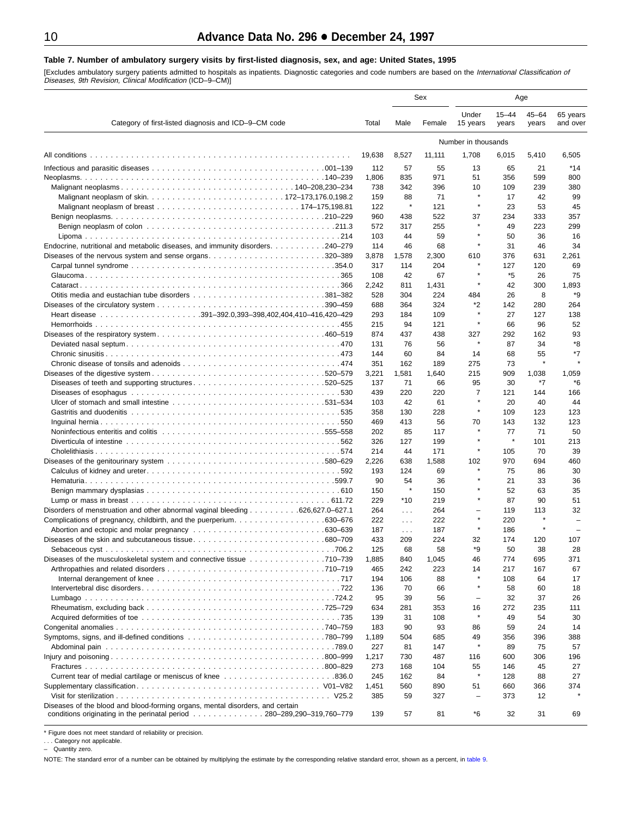#### <span id="page-9-0"></span>**Table 7. Number of ambulatory surgery visits by first-listed diagnosis, sex, and age: United States, 1995**

[Excludes ambulatory surgery patients admitted to hospitals as inpatients. Diagnostic categories and code numbers are based on the *International Classification of*<br>*Diseases, 9th Revision, Clinical Modification* (ICD–9–CM

| Category of first-listed diagnosis and ICD-9-CM code<br>Total<br>19,638<br>All conditions<br>112<br>1,806<br>738<br>159<br>122<br>960<br>572<br>103<br>Endocrine, nutritional and metabolic diseases, and immunity disorders. 240–279<br>114<br>3,878<br>Diseases of the nervous system and sense organs320–389<br>317<br>108<br>2,242<br>528<br>688<br>293<br>215<br>874<br>131<br>144<br>351<br>3,221<br>137<br>Diseases of teeth and supporting structures520–525<br>439<br>103<br>358<br>469<br>202<br>326<br>214<br>2,226<br>193<br>90<br>150<br>229<br>264<br>Disorders of menstruation and other abnormal vaginal bleeding 626,627.0–627.1<br>222<br>187<br>433<br>125<br>Diseases of the musculoskeletal system and connective tissue 710–739<br>1,885<br>465<br>194<br>136<br>95<br>634<br>139<br>183<br>1,189<br>227<br>1,217<br>273 |       | Sex                  | Age          |                          |                    |                    |                          |
|------------------------------------------------------------------------------------------------------------------------------------------------------------------------------------------------------------------------------------------------------------------------------------------------------------------------------------------------------------------------------------------------------------------------------------------------------------------------------------------------------------------------------------------------------------------------------------------------------------------------------------------------------------------------------------------------------------------------------------------------------------------------------------------------------------------------------------------------|-------|----------------------|--------------|--------------------------|--------------------|--------------------|--------------------------|
|                                                                                                                                                                                                                                                                                                                                                                                                                                                                                                                                                                                                                                                                                                                                                                                                                                                |       | Male                 | Female       | Under<br>15 years        | $15 - 44$<br>years | $45 - 64$<br>years | 65 years<br>and over     |
|                                                                                                                                                                                                                                                                                                                                                                                                                                                                                                                                                                                                                                                                                                                                                                                                                                                |       |                      |              | Number in thousands      |                    |                    |                          |
|                                                                                                                                                                                                                                                                                                                                                                                                                                                                                                                                                                                                                                                                                                                                                                                                                                                |       | 8,527                | 11,111       | 1,708                    | 6,015              | 5,410              | 6,505                    |
|                                                                                                                                                                                                                                                                                                                                                                                                                                                                                                                                                                                                                                                                                                                                                                                                                                                |       | 57                   | 55           | 13                       | 65                 | 21                 | *14                      |
|                                                                                                                                                                                                                                                                                                                                                                                                                                                                                                                                                                                                                                                                                                                                                                                                                                                |       | 835                  | 971          | 51                       | 356                | 599                | 800                      |
|                                                                                                                                                                                                                                                                                                                                                                                                                                                                                                                                                                                                                                                                                                                                                                                                                                                |       | 342                  | 396          | 10                       | 109                | 239                | 380                      |
|                                                                                                                                                                                                                                                                                                                                                                                                                                                                                                                                                                                                                                                                                                                                                                                                                                                |       | 88                   | 71           | $\star$                  | 17                 | 42                 | 99                       |
|                                                                                                                                                                                                                                                                                                                                                                                                                                                                                                                                                                                                                                                                                                                                                                                                                                                |       | $\star$              | 121          | $\star$                  | 23                 | 53                 | 45                       |
|                                                                                                                                                                                                                                                                                                                                                                                                                                                                                                                                                                                                                                                                                                                                                                                                                                                |       | 438                  | 522          | 37                       | 234                | 333                | 357                      |
|                                                                                                                                                                                                                                                                                                                                                                                                                                                                                                                                                                                                                                                                                                                                                                                                                                                |       | 317<br>44            | 255<br>59    |                          | 49<br>50           | 223<br>36          | 299<br>16                |
|                                                                                                                                                                                                                                                                                                                                                                                                                                                                                                                                                                                                                                                                                                                                                                                                                                                |       | 46                   | 68           |                          | 31                 | 46                 | 34                       |
|                                                                                                                                                                                                                                                                                                                                                                                                                                                                                                                                                                                                                                                                                                                                                                                                                                                |       | 1,578                | 2,300        | 610                      | 376                | 631                | 2,261                    |
|                                                                                                                                                                                                                                                                                                                                                                                                                                                                                                                                                                                                                                                                                                                                                                                                                                                |       | 114                  | 204          |                          | 127                | 120                | 69                       |
|                                                                                                                                                                                                                                                                                                                                                                                                                                                                                                                                                                                                                                                                                                                                                                                                                                                |       | 42                   | 67           |                          | *5                 | 26                 | 75                       |
|                                                                                                                                                                                                                                                                                                                                                                                                                                                                                                                                                                                                                                                                                                                                                                                                                                                |       | 811                  | 1,431        | $\star$                  | 42                 | 300                | 1,893                    |
|                                                                                                                                                                                                                                                                                                                                                                                                                                                                                                                                                                                                                                                                                                                                                                                                                                                |       | 304                  | 224          | 484                      | 26                 | 8                  | *9                       |
|                                                                                                                                                                                                                                                                                                                                                                                                                                                                                                                                                                                                                                                                                                                                                                                                                                                |       | 364                  | 324          | *2                       | 142                | 280                | 264                      |
|                                                                                                                                                                                                                                                                                                                                                                                                                                                                                                                                                                                                                                                                                                                                                                                                                                                |       | 184                  | 109          | $\star$                  | 27                 | 127                | 138                      |
|                                                                                                                                                                                                                                                                                                                                                                                                                                                                                                                                                                                                                                                                                                                                                                                                                                                |       | 94                   | 121          |                          | 66                 | 96                 | 52<br>93                 |
|                                                                                                                                                                                                                                                                                                                                                                                                                                                                                                                                                                                                                                                                                                                                                                                                                                                |       | 437<br>76            | 438<br>56    | 327                      | 292<br>87          | 162<br>34          | *8                       |
|                                                                                                                                                                                                                                                                                                                                                                                                                                                                                                                                                                                                                                                                                                                                                                                                                                                |       | 60                   | 84           | 14                       | 68                 | 55                 | *7                       |
|                                                                                                                                                                                                                                                                                                                                                                                                                                                                                                                                                                                                                                                                                                                                                                                                                                                |       | 162                  | 189          | 275                      | 73                 | $\pmb{\ast}$       |                          |
|                                                                                                                                                                                                                                                                                                                                                                                                                                                                                                                                                                                                                                                                                                                                                                                                                                                |       | 1,581                | 1,640        | 215                      | 909                | 1,038              | 1,059                    |
|                                                                                                                                                                                                                                                                                                                                                                                                                                                                                                                                                                                                                                                                                                                                                                                                                                                |       | 71                   | 66           | 95                       | 30                 | *7                 | *6                       |
|                                                                                                                                                                                                                                                                                                                                                                                                                                                                                                                                                                                                                                                                                                                                                                                                                                                |       | 220                  | 220          | 7                        | 121                | 144                | 166                      |
|                                                                                                                                                                                                                                                                                                                                                                                                                                                                                                                                                                                                                                                                                                                                                                                                                                                |       | 42                   | 61           | $\pmb{\ast}$             | 20                 | 40                 | 44                       |
|                                                                                                                                                                                                                                                                                                                                                                                                                                                                                                                                                                                                                                                                                                                                                                                                                                                |       | 130                  | 228          |                          | 109                | 123                | 123                      |
|                                                                                                                                                                                                                                                                                                                                                                                                                                                                                                                                                                                                                                                                                                                                                                                                                                                |       | 413                  | 56           | 70                       | 143                | 132                | 123                      |
|                                                                                                                                                                                                                                                                                                                                                                                                                                                                                                                                                                                                                                                                                                                                                                                                                                                |       | 85                   | 117          |                          | 77                 | 71                 | 50                       |
|                                                                                                                                                                                                                                                                                                                                                                                                                                                                                                                                                                                                                                                                                                                                                                                                                                                |       | 127                  | 199          |                          | $\star$            | 101                | 213                      |
|                                                                                                                                                                                                                                                                                                                                                                                                                                                                                                                                                                                                                                                                                                                                                                                                                                                |       | 44<br>638            | 171<br>1,588 | 102                      | 105<br>970         | 70<br>694          | 39<br>460                |
|                                                                                                                                                                                                                                                                                                                                                                                                                                                                                                                                                                                                                                                                                                                                                                                                                                                |       | 124                  | 69           | $\star$                  | 75                 | 86                 | 30                       |
|                                                                                                                                                                                                                                                                                                                                                                                                                                                                                                                                                                                                                                                                                                                                                                                                                                                |       | 54                   | 36           |                          | 21                 | 33                 | 36                       |
|                                                                                                                                                                                                                                                                                                                                                                                                                                                                                                                                                                                                                                                                                                                                                                                                                                                |       | $\star$              | 150          |                          | 52                 | 63                 | 35                       |
|                                                                                                                                                                                                                                                                                                                                                                                                                                                                                                                                                                                                                                                                                                                                                                                                                                                |       | *10                  | 219          |                          | 87                 | 90                 | 51                       |
|                                                                                                                                                                                                                                                                                                                                                                                                                                                                                                                                                                                                                                                                                                                                                                                                                                                |       | $\sim$ $\sim$        | 264          |                          | 119                | 113                | 32                       |
|                                                                                                                                                                                                                                                                                                                                                                                                                                                                                                                                                                                                                                                                                                                                                                                                                                                |       | $\sim$ $\sim$ $\sim$ | 222          | $\pmb{\ast}$             | 220                | $\star$            |                          |
|                                                                                                                                                                                                                                                                                                                                                                                                                                                                                                                                                                                                                                                                                                                                                                                                                                                |       | $\sim 100$           | 187          |                          | 186                | $\star$            | $\overline{\phantom{0}}$ |
|                                                                                                                                                                                                                                                                                                                                                                                                                                                                                                                                                                                                                                                                                                                                                                                                                                                |       | 209                  | 224          | 32                       | 174                | 120                | 107                      |
|                                                                                                                                                                                                                                                                                                                                                                                                                                                                                                                                                                                                                                                                                                                                                                                                                                                |       | 68                   | 58           | *9<br>46                 | 50<br>774          | 38<br>695          | 28<br>371                |
|                                                                                                                                                                                                                                                                                                                                                                                                                                                                                                                                                                                                                                                                                                                                                                                                                                                |       | 840<br>242           | 1,045<br>223 | 14                       | 217                | 167                | 67                       |
|                                                                                                                                                                                                                                                                                                                                                                                                                                                                                                                                                                                                                                                                                                                                                                                                                                                |       | 106                  | 88           |                          | 108                | 64                 | 17                       |
|                                                                                                                                                                                                                                                                                                                                                                                                                                                                                                                                                                                                                                                                                                                                                                                                                                                |       | 70                   | 66           | $\star$                  | 58                 | 60                 | 18                       |
|                                                                                                                                                                                                                                                                                                                                                                                                                                                                                                                                                                                                                                                                                                                                                                                                                                                |       | 39                   | 56           | $\overline{\phantom{0}}$ | 32                 | 37                 | 26                       |
|                                                                                                                                                                                                                                                                                                                                                                                                                                                                                                                                                                                                                                                                                                                                                                                                                                                |       | 281                  | 353          | 16                       | 272                | 235                | 111                      |
|                                                                                                                                                                                                                                                                                                                                                                                                                                                                                                                                                                                                                                                                                                                                                                                                                                                |       | 31                   | 108          |                          | 49                 | 54                 | 30                       |
|                                                                                                                                                                                                                                                                                                                                                                                                                                                                                                                                                                                                                                                                                                                                                                                                                                                |       | 90                   | 93           | 86                       | 59                 | 24                 | 14                       |
|                                                                                                                                                                                                                                                                                                                                                                                                                                                                                                                                                                                                                                                                                                                                                                                                                                                |       | 504                  | 685          | 49<br>$\pmb{\ast}$       | 356                | 396                | 388                      |
|                                                                                                                                                                                                                                                                                                                                                                                                                                                                                                                                                                                                                                                                                                                                                                                                                                                |       | 81                   | 147          |                          | 89                 | 75                 | 57                       |
|                                                                                                                                                                                                                                                                                                                                                                                                                                                                                                                                                                                                                                                                                                                                                                                                                                                |       | 730<br>168           | 487<br>104   | 116<br>55                | 600<br>146         | 306<br>45          | 196<br>27                |
|                                                                                                                                                                                                                                                                                                                                                                                                                                                                                                                                                                                                                                                                                                                                                                                                                                                | 245   | 162                  | 84           |                          | 128                | 88                 | 27                       |
|                                                                                                                                                                                                                                                                                                                                                                                                                                                                                                                                                                                                                                                                                                                                                                                                                                                | 1,451 | 560                  | 890          | 51                       | 660                | 366                | 374                      |
|                                                                                                                                                                                                                                                                                                                                                                                                                                                                                                                                                                                                                                                                                                                                                                                                                                                | 385   | 59                   | 327          |                          | 373                | 12                 |                          |
| Diseases of the blood and blood-forming organs, mental disorders, and certain                                                                                                                                                                                                                                                                                                                                                                                                                                                                                                                                                                                                                                                                                                                                                                  |       |                      |              |                          |                    |                    |                          |
| conditions originating in the perinatal period 280–289,290–319,760–779                                                                                                                                                                                                                                                                                                                                                                                                                                                                                                                                                                                                                                                                                                                                                                         | 139   | 57                   | 81           | *6                       | 32                 | 31                 | 69                       |

\* Figure does not meet standard of reliability or precision.

. . . Category not applicable. – Quantity zero.

NOTE: The standard error of a number can be obtained by multiplying the estimate by the corresponding relative standard error, shown as a percent, in [table 9.](#page-11-0)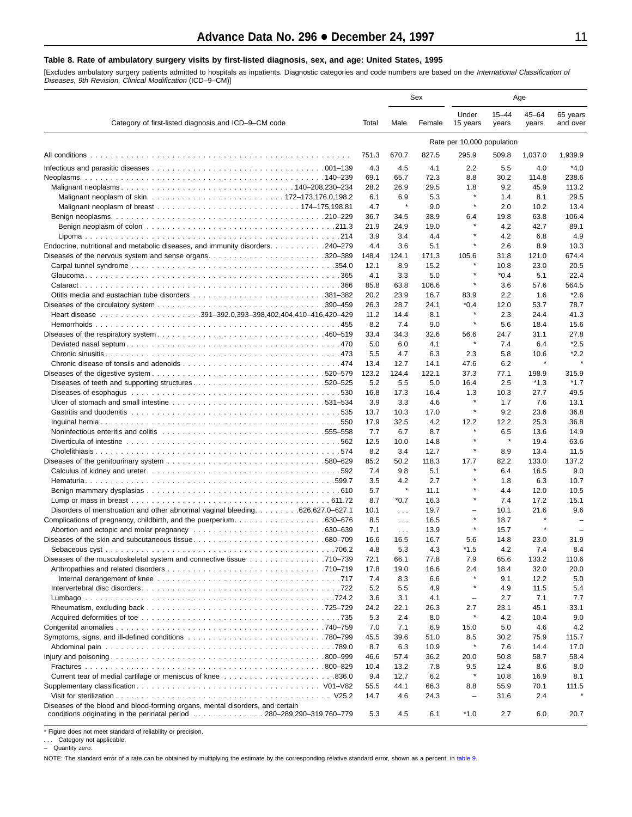### <span id="page-10-0"></span>**Table 8. Rate of ambulatory surgery visits by first-listed diagnosis, sex, and age: United States, 1995**

[Excludes ambulatory surgery patients admitted to hospitals as inpatients. Diagnostic categories and code numbers are based on the *International Classification of*<br>*Diseases, 9th Revision, Clinical Modification* (ICD–9–CM

|                                                                                                                |               |                      | Sex           |                            |                    |                    |                      |
|----------------------------------------------------------------------------------------------------------------|---------------|----------------------|---------------|----------------------------|--------------------|--------------------|----------------------|
| Category of first-listed diagnosis and ICD-9-CM code                                                           | Total         | Male                 | Female        | Under<br>15 years          | $15 - 44$<br>years | $45 - 64$<br>years | 65 years<br>and over |
|                                                                                                                |               |                      |               | Rate per 10,000 population |                    |                    |                      |
|                                                                                                                | 751.3         | 670.7                | 827.5         | 295.9                      | 509.8              | 1,037.0            | 1,939.9              |
|                                                                                                                | 4.3           | 4.5                  | 4.1           | 2.2                        | 5.5                | 4.0                | $*4.0$               |
|                                                                                                                | 69.1          | 65.7                 | 72.3          | 8.8                        | 30.2               | 114.8              | 238.6                |
|                                                                                                                | 28.2          | 26.9                 | 29.5          | 1.8                        | 9.2                | 45.9               | 113.2                |
|                                                                                                                | 6.1           | 6.9                  | 5.3           | $\star$                    | 1.4                | 8.1                | 29.5                 |
|                                                                                                                | 4.7           | ×                    | 9.0           | $\pmb{\ast}$               | 2.0                | 10.2               | 13.4                 |
|                                                                                                                | 36.7          | 34.5                 | 38.9          | 6.4                        | 19.8               | 63.8               | 106.4                |
|                                                                                                                | 21.9          | 24.9                 | 19.0          |                            | 4.2                | 42.7               | 89.1                 |
|                                                                                                                | 3.9           | 3.4                  | 4.4           | ×<br>$\star$               | 4.2                | 6.8                | 4.9                  |
| Endocrine, nutritional and metabolic diseases, and immunity disorders. 240–279                                 | 4.4           | 3.6                  | 5.1           |                            | 2.6                | 8.9                | 10.3                 |
|                                                                                                                | 148.4<br>12.1 | 124.1<br>8.9         | 171.3<br>15.2 | 105.6                      | 31.8<br>10.8       | 121.0<br>23.0      | 674.4<br>20.5        |
|                                                                                                                | 4.1           | 3.3                  | 5.0           | $\star$                    | $*0.4$             | 5.1                | 22.4                 |
|                                                                                                                | 85.8          | 63.8                 | 106.6         | ×                          | 3.6                | 57.6               | 564.5                |
|                                                                                                                | 20.2          | 23.9                 | 16.7          | 83.9                       | 2.2                | 1.6                | $*2.6$               |
|                                                                                                                | 26.3          | 28.7                 | 24.1          | $*0.4$                     | 12.0               | 53.7               | 78.7                 |
|                                                                                                                | 11.2          | 14.4                 | 8.1           | $\star$                    | 2.3                | 24.4               | 41.3                 |
|                                                                                                                | 8.2           | 7.4                  | 9.0           | $\star$                    | 5.6                | 18.4               | 15.6                 |
|                                                                                                                | 33.4          | 34.3                 | 32.6          | 56.6                       | 24.7               | 31.1               | 27.8                 |
|                                                                                                                | 5.0           | 6.0                  | 4.1           | $\star$                    | 7.4                | 6.4                | $*2.5$               |
|                                                                                                                | 5.5           | 4.7                  | 6.3           | 2.3                        | 5.8                | 10.6               | $*2.2$               |
|                                                                                                                | 13.4          | 12.7                 | 14.1          | 47.6                       | 6.2                | $\star$            |                      |
|                                                                                                                | 123.2         | 124.4                | 122.1         | 37.3                       | 77.1               | 198.9              | 315.9                |
| Diseases of teeth and supporting structures520–525                                                             | 5.2           | 5.5                  | 5.0           | 16.4                       | 2.5                | $*1.3$             | $*1.7$               |
|                                                                                                                | 16.8<br>3.9   | 17.3<br>3.3          | 16.4          | 1.3<br>$\star$             | 10.3<br>1.7        | 27.7               | 49.5<br>13.1         |
|                                                                                                                | 13.7          | 10.3                 | 4.6<br>17.0   | $\star$                    | 9.2                | 7.6<br>23.6        | 36.8                 |
|                                                                                                                | 17.9          | 32.5                 | 4.2           | 12.2                       | 12.2               | 25.3               | 36.8                 |
| Noninfectious enteritis and colitis enterity of the content of the collection of the content of the content of | 7.7           | 6.7                  | 8.7           | $\star$                    | 6.5                | 13.6               | 14.9                 |
|                                                                                                                | 12.5          | 10.0                 | 14.8          | $\pmb{\ast}$               | $\star$            | 19.4               | 63.6                 |
|                                                                                                                | 8.2           | 3.4                  | 12.7          | ×                          | 8.9                | 13.4               | 11.5                 |
|                                                                                                                | 85.2          | 50.2                 | 118.3         | 17.7                       | 82.2               | 133.0              | 137.2                |
|                                                                                                                | 7.4           | 9.8                  | 5.1           | $\star$                    | 6.4                | 16.5               | 9.0                  |
|                                                                                                                | 3.5           | 4.2                  | 2.7           |                            | 1.8                | 6.3                | 10.7                 |
|                                                                                                                | 5.7           | $\pmb{\ast}$         | 11.1          | $\star$                    | 4.4                | 12.0               | 10.5                 |
|                                                                                                                | 8.7           | $*0.7$               | 16.3          | $\star$                    | 7.4                | 17.2               | 15.1                 |
| Disorders of menstruation and other abnormal vaginal bleeding. 626,627.0–627.1                                 | 10.1          | $\sim 100$           | 19.7          | $\overline{\phantom{0}}$   | 10.1               | 21.6               | 9.6                  |
|                                                                                                                | 8.5           | $\sim$ $\sim$ $\sim$ | 16.5          | $\star$                    | 18.7               | $\star$            |                      |
|                                                                                                                | 7.1           | $\sim 100$           | 13.9          | $\star$                    | 15.7               |                    |                      |
|                                                                                                                | 16.6          | 16.5                 | 16.7          | 5.6<br>$*1.5$              | 14.8               | 23.0               | 31.9                 |
| Diseases of the musculoskeletal system and connective tissue 710–739                                           | 4.8<br>72.1   | 5.3<br>66.1          | 4.3<br>77.8   | 7.9                        | 4.2<br>65.6        | 7.4<br>133.2       | 8.4<br>110.6         |
|                                                                                                                | 17.8          | 19.0                 | 16.6          | 2.4                        | 18.4               | 32.0               | 20.0                 |
|                                                                                                                | 7.4           | 8.3                  | 6.6           | $\pmb{\ast}$               | 9.1                | 12.2               | 5.0                  |
|                                                                                                                | 5.2           | 5.5                  | 4.9           | ×                          | 4.9                | 11.5               | 5.4                  |
|                                                                                                                | 3.6           | 3.1                  | 4.1           | $\qquad \qquad -$          | 2.7                | 7.1                | 7.7                  |
|                                                                                                                | 24.2          | 22.1                 | 26.3          | 2.7                        | 23.1               | 45.1               | 33.1                 |
|                                                                                                                | 5.3           | 2.4                  | 8.0           | $\star$                    | 4.2                | 10.4               | 9.0                  |
|                                                                                                                | 7.0           | 7.1                  | 6.9           | 15.0                       | 5.0                | 4.6                | 4.2                  |
|                                                                                                                | 45.5          | 39.6                 | 51.0          | 8.5                        | 30.2               | 75.9               | 115.7                |
|                                                                                                                | 8.7           | 6.3                  | 10.9          | $\star$                    | 7.6                | 14.4               | 17.0                 |
|                                                                                                                | 46.6          | 57.4                 | 36.2          | 20.0                       | 50.8               | 58.7               | 58.4                 |
|                                                                                                                | 10.4          | 13.2                 | 7.8           | 9.5                        | 12.4               | 8.6                | 8.0                  |
|                                                                                                                | 9.4           | 12.7                 | 6.2           | $\star$                    | 10.8               | 16.9               | 8.1                  |
|                                                                                                                | 55.5          | 44.1                 | 66.3          | 8.8                        | 55.9               | 70.1               | 111.5                |
| Diseases of the blood and blood-forming organs, mental disorders, and certain                                  | 14.7          | 4.6                  | 24.3          | $\overline{\phantom{a}}$   | 31.6               | 2.4                |                      |
| conditions originating in the perinatal period 280–289,290–319,760–779                                         | 5.3           | 4.5                  | 6.1           | $*1.0$                     | 2.7                | 6.0                | 20.7                 |

\* Figure does not meet standard of reliability or precision.

. . . Category not applicable.

– Quantity zero.

NOTE: The standard error of a rate can be obtained by multiplying the estimate by the corresponding relative standard error, shown as a percent, in [table 9.](#page-11-0)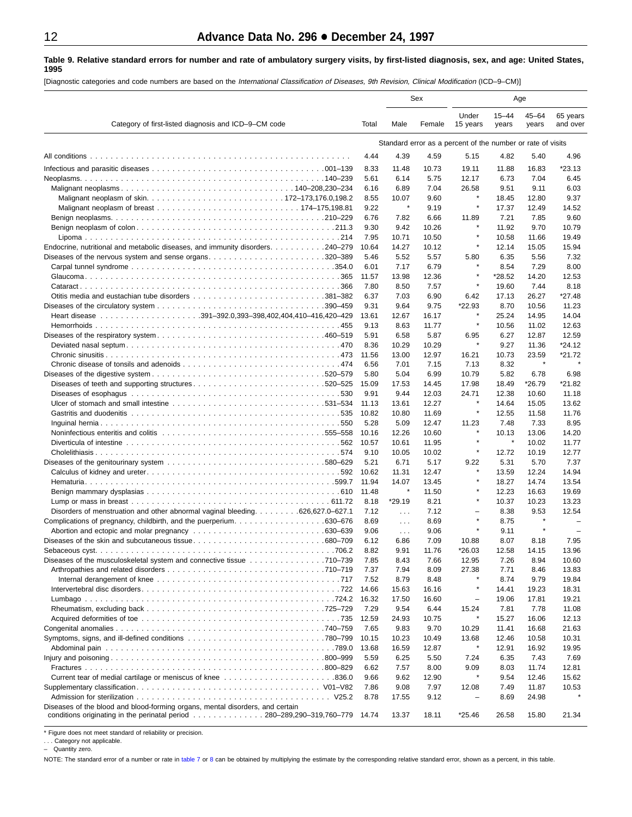#### <span id="page-11-0"></span>**Table 9. Relative standard errors for number and rate of ambulatory surgery visits, by first-listed diagnosis, sex, and age: United States, 1995**

[Diagnostic categories and code numbers are based on the International Classification of Diseases, 9th Revision, Clinical Modification (ICD–9–CM)]

|                                                                                                                   |               |                | Sex            |                                                             |                    | Age                |                          |
|-------------------------------------------------------------------------------------------------------------------|---------------|----------------|----------------|-------------------------------------------------------------|--------------------|--------------------|--------------------------|
| Category of first-listed diagnosis and ICD-9-CM code                                                              | Total         | Male           | Female         | Under<br>15 years                                           | $15 - 44$<br>years | $45 - 64$<br>years | 65 years<br>and over     |
|                                                                                                                   |               |                |                | Standard error as a percent of the number or rate of visits |                    |                    |                          |
|                                                                                                                   | 4.44          | 4.39           | 4.59           | 5.15                                                        | 4.82               | 5.40               | 4.96                     |
|                                                                                                                   | 8.33          | 11.48          | 10.73          | 19.11                                                       | 11.88              | 16.83              | $*23.13$                 |
|                                                                                                                   | 5.61          | 6.14           | 5.75           | 12.17                                                       | 6.73               | 7.04               | 6.45                     |
|                                                                                                                   | 6.16          | 6.89           | 7.04           | 26.58                                                       | 9.51               | 9.11               | 6.03                     |
|                                                                                                                   | 8.55          | 10.07          | 9.60           |                                                             | 18.45              | 12.80              | 9.37                     |
|                                                                                                                   | 9.22          | $\star$        | 9.19           | $\star$                                                     | 17.37              | 12.49              | 14.52                    |
|                                                                                                                   | 6.76          | 7.82           | 6.66           | 11.89                                                       | 7.21               | 7.85               | 9.60                     |
|                                                                                                                   | 9.30          | 9.42           | 10.26          |                                                             | 11.92              | 9.70               | 10.79                    |
|                                                                                                                   | 7.95          | 10.71          | 10.50          | $\star$                                                     | 10.58              | 11.66              | 19.49                    |
| Endocrine, nutritional and metabolic diseases, and immunity disorders. 240–279                                    | 10.64         | 14.27          | 10.12          | $\star$                                                     | 12.14              | 15.05              | 15.94                    |
| Diseases of the nervous system and sense organs320–389                                                            | 5.46          | 5.52           | 5.57           | 5.80                                                        | 6.35               | 5.56               | 7.32                     |
|                                                                                                                   | 6.01          | 7.17           | 6.79           | ×                                                           | 8.54               | 7.29               | 8.00                     |
|                                                                                                                   | 11.57         | 13.98          | 12.36          | $\pmb{\ast}$                                                | $*28.52$           | 14.20              | 12.53                    |
|                                                                                                                   | 7.80          | 8.50           | 7.57           |                                                             | 19.60              | 7.44               | 8.18                     |
|                                                                                                                   | 6.37<br>9.31  | 7.03           | 6.90<br>9.75   | 6.42<br>*22.93                                              | 17.13<br>8.70      | 26.27              | *27.48                   |
|                                                                                                                   | 13.61         | 9.64<br>12.67  | 16.17          |                                                             | 25.24              | 10.56<br>14.95     | 11.23<br>14.04           |
|                                                                                                                   | 9.13          | 8.63           | 11.77          | $\star$                                                     | 10.56              | 11.02              | 12.63                    |
|                                                                                                                   | 5.91          | 6.58           | 5.87           | 6.95                                                        | 6.27               | 12.87              | 12.59                    |
|                                                                                                                   | 8.36          | 10.29          | 10.29          | $\star$                                                     | 9.27               | 11.36              | $*24.12$                 |
|                                                                                                                   | 11.56         | 13.00          | 12.97          | 16.21                                                       | 10.73              | 23.59              | $*21.72$                 |
|                                                                                                                   | 6.56          | 7.01           | 7.15           | 7.13                                                        | 8.32               | $\star$            | $\star$                  |
|                                                                                                                   | 5.80          | 5.04           | 6.99           | 10.79                                                       | 5.82               | 6.78               | 6.98                     |
| Diseases of teeth and supporting structures520–525                                                                | 15.09         | 17.53          | 14.45          | 17.98                                                       | 18.49              | *26.79             | *21.82                   |
| . 530                                                                                                             | 9.91          | 9.44           | 12.03          | 24.71                                                       | 12.38              | 10.60              | 11.18                    |
|                                                                                                                   | 11.13         | 13.61          | 12.27          | ×                                                           | 14.64              | 15.05              | 13.62                    |
|                                                                                                                   | 10.82         | 10.80          | 11.69          | $\star$                                                     | 12.55              | 11.58              | 11.76                    |
|                                                                                                                   | 5.28          | 5.09           | 12.47          | 11.23<br>×                                                  | 7.48               | 7.33               | 8.95                     |
| Noninfectious enteritis and colitis entering research contained and response in the series of the series of th    | 10.16         | 12.26          | 10.60          |                                                             | 10.13<br>$\star$   | 13.06              | 14.20<br>11.77           |
|                                                                                                                   | 10.57<br>9.10 | 10.61<br>10.05 | 11.95<br>10.02 | $\star$                                                     | 12.72              | 10.02<br>10.19     | 12.77                    |
|                                                                                                                   | 5.21          | 6.71           | 5.17           | 9.22                                                        | 5.31               | 5.70               | 7.37                     |
|                                                                                                                   | 10.62         | 11.31          | 12.47          | $\star$                                                     | 13.59              | 12.24              | 14.94                    |
|                                                                                                                   | 11.94         | 14.07          | 13.45          | $\star$                                                     | 18.27              | 14.74              | 13.54                    |
|                                                                                                                   | 11.48         | $\pmb{\ast}$   | 11.50          | $\star$                                                     | 12.23              | 16.63              | 19.69                    |
|                                                                                                                   | 8.18          | *29.19         | 8.21           | ×                                                           | 10.37              | 10.23              | 13.23                    |
| Disorders of menstruation and other abnormal vaginal bleeding 626,627.0–627.1                                     | 7.12          | $\sim 100$     | 7.12           | $\overline{\phantom{0}}$                                    | 8.38               | 9.53               | 12.54                    |
| Complications of pregnancy, childbirth, and the puerperium630–676                                                 | 8.69          | $\sim 100$     | 8.69           | $\star$                                                     | 8.75               | $\star$            | $\overline{\phantom{0}}$ |
|                                                                                                                   | 9.06          | $\sim 100$     | 9.06           | $\star$                                                     | 9.11               | $\star$            | $\overline{\phantom{0}}$ |
|                                                                                                                   | 6.12<br>8.82  | 6.86<br>9.91   | 7.09<br>11.76  | 10.88<br>*26.03                                             | 8.07<br>12.58      | 8.18<br>14.15      | 7.95<br>13.96            |
| .706.2<br>Diseases of the musculoskeletal system and connective tissue 710–739                                    | 7.85          | 8.43           | 7.66           | 12.95                                                       | 7.26               | 8.94               | 10.60                    |
|                                                                                                                   | 7.37          | 7.94           | 8.09           | 27.38                                                       | 7.71               | 8.46               | 13.83                    |
|                                                                                                                   | 7.52          | 8.79           | 8.48           |                                                             | 8.74               | 9.79               | 19.84                    |
|                                                                                                                   | 14.66         | 15.63          | 16.16          | $\star$                                                     | 14.41              | 19.23              | 18.31                    |
|                                                                                                                   | 16.32         | 17.50          | 16.60          | $\qquad \qquad -$                                           | 19.06              | 17.81              | 19.21                    |
|                                                                                                                   | 7.29          | 9.54           | 6.44           | 15.24                                                       | 7.81               | 7.78               | 11.08                    |
|                                                                                                                   | 12.59         | 24.93          | 10.75          | ×                                                           | 15.27              | 16.06              | 12.13                    |
|                                                                                                                   | 7.65          | 9.83           | 9.70           | 10.29                                                       | 11.41              | 16.68              | 21.63                    |
|                                                                                                                   | 10.15         | 10.23          | 10.49          | 13.68<br>$\star$                                            | 12.46              | 10.58              | 10.31                    |
|                                                                                                                   | 13.68         | 16.59          | 12.87          |                                                             | 12.91              | 16.92              | 19.95                    |
|                                                                                                                   | 5.59          | 6.25           | 5.50           | 7.24                                                        | 6.35               | 7.43               | 7.69                     |
|                                                                                                                   | 6.62<br>9.66  | 7.57<br>9.62   | 8.00<br>12.90  | 9.09<br>$\star$                                             | 8.03<br>9.54       | 11.74<br>12.46     | 12.81<br>15.62           |
|                                                                                                                   | 7.86          | 9.08           | 7.97           | 12.08                                                       | 7.49               | 11.87              | 10.53                    |
|                                                                                                                   | 8.78          | 17.55          | 9.12           | $\equiv$                                                    | 8.69               | 24.98              |                          |
| Diseases of the blood and blood-forming organs, mental disorders, and certain                                     |               |                |                |                                                             |                    |                    |                          |
| conditions originating in the perinatal period $\ldots \ldots \ldots \ldots \ldots 280-289,290-319,760-779$ 14.74 |               | 13.37          | 18.11          | $*25.46$                                                    | 26.58              | 15.80              | 21.34                    |

\* Figure does not meet standard of reliability or precision.

. . . Category not applicable. – Quantity zero.

NOTE: The standard error of a number or rate in [table 7](#page-9-0) or 8 [ca](#page-10-0)n be obtained by multiplying the estimate by the corresponding relative standard error, shown as a percent, in this table.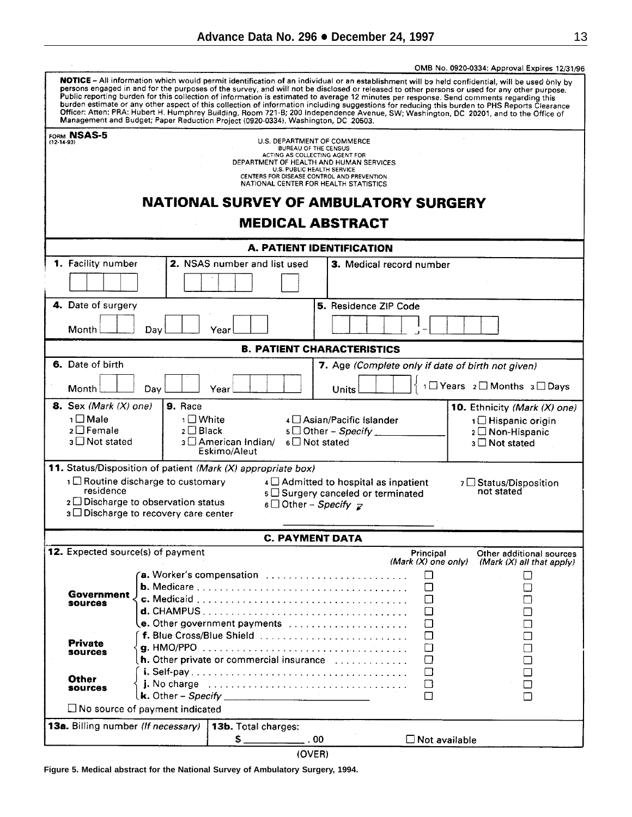<span id="page-12-0"></span>

|                  |                                    |                                            |                                                                                                                                                                                                                                                                                                                                                                                                                                                                                                                        |                                                                                     |                       | OMB No. 0920-0334: Approval Expires 12/31/96                                                                                                                                                                                                                                                     |
|------------------|------------------------------------|--------------------------------------------|------------------------------------------------------------------------------------------------------------------------------------------------------------------------------------------------------------------------------------------------------------------------------------------------------------------------------------------------------------------------------------------------------------------------------------------------------------------------------------------------------------------------|-------------------------------------------------------------------------------------|-----------------------|--------------------------------------------------------------------------------------------------------------------------------------------------------------------------------------------------------------------------------------------------------------------------------------------------|
|                  |                                    |                                            | persons engaged in and for the purposes of the survey, and will not be disclosed or released to other persons or used for any other purpose.<br>Public reporting burden for this collection of information is estimated to average 12 minutes per response. Send comments regarding this<br>Officer: Atten: PRA: Hubert H. Humphrey Building, Room 721-B; 200 Independence Avenue, SW; Washington, DC 20201, and to the Office of<br>Management and Budget; Paper Reduction Project (0920-0334), Washington, DC 20503. |                                                                                     |                       | NOTICE - All information which would permit identification of an individual or an establishment will be held confidential, will be used only by<br>burden estimate or any other aspect of this collection of information including suggestions for reducing this burden to PHS Reports Clearance |
|                  | FORM NSAS-5                        |                                            |                                                                                                                                                                                                                                                                                                                                                                                                                                                                                                                        |                                                                                     |                       |                                                                                                                                                                                                                                                                                                  |
| $(12 - 14 - 93)$ |                                    |                                            |                                                                                                                                                                                                                                                                                                                                                                                                                                                                                                                        | U.S. DEPARTMENT OF COMMERCE<br><b>BUREAU OF THE CENSUS</b>                          |                       |                                                                                                                                                                                                                                                                                                  |
|                  |                                    |                                            |                                                                                                                                                                                                                                                                                                                                                                                                                                                                                                                        | ACTING AS COLLECTING AGENT FOR<br>DEPARTMENT OF HEALTH AND HUMAN SERVICES           |                       |                                                                                                                                                                                                                                                                                                  |
|                  |                                    |                                            |                                                                                                                                                                                                                                                                                                                                                                                                                                                                                                                        | <b>U.S. PUBLIC HEALTH SERVICE</b>                                                   |                       |                                                                                                                                                                                                                                                                                                  |
|                  |                                    |                                            |                                                                                                                                                                                                                                                                                                                                                                                                                                                                                                                        | CENTERS FOR DISEASE CONTROL AND PREVENTION<br>NATIONAL CENTER FOR HEALTH STATISTICS |                       |                                                                                                                                                                                                                                                                                                  |
|                  |                                    |                                            | <b>NATIONAL SURVEY OF AMBULATORY SURGERY</b>                                                                                                                                                                                                                                                                                                                                                                                                                                                                           |                                                                                     |                       |                                                                                                                                                                                                                                                                                                  |
|                  |                                    |                                            |                                                                                                                                                                                                                                                                                                                                                                                                                                                                                                                        | <b>MEDICAL ABSTRACT</b>                                                             |                       |                                                                                                                                                                                                                                                                                                  |
|                  |                                    |                                            |                                                                                                                                                                                                                                                                                                                                                                                                                                                                                                                        | A. PATIENT IDENTIFICATION                                                           |                       |                                                                                                                                                                                                                                                                                                  |
|                  | 1. Facility number                 |                                            | 2. NSAS number and list used                                                                                                                                                                                                                                                                                                                                                                                                                                                                                           | 3. Medical record number                                                            |                       |                                                                                                                                                                                                                                                                                                  |
|                  |                                    |                                            |                                                                                                                                                                                                                                                                                                                                                                                                                                                                                                                        |                                                                                     |                       |                                                                                                                                                                                                                                                                                                  |
|                  | 4. Date of surgery                 |                                            |                                                                                                                                                                                                                                                                                                                                                                                                                                                                                                                        | 5. Residence ZIP Code                                                               |                       |                                                                                                                                                                                                                                                                                                  |
|                  |                                    |                                            |                                                                                                                                                                                                                                                                                                                                                                                                                                                                                                                        |                                                                                     |                       |                                                                                                                                                                                                                                                                                                  |
|                  | Month                              | Day                                        | Year                                                                                                                                                                                                                                                                                                                                                                                                                                                                                                                   |                                                                                     |                       |                                                                                                                                                                                                                                                                                                  |
|                  |                                    |                                            |                                                                                                                                                                                                                                                                                                                                                                                                                                                                                                                        | <b>B. PATIENT CHARACTERISTICS</b>                                                   |                       |                                                                                                                                                                                                                                                                                                  |
|                  | 6. Date of birth                   |                                            |                                                                                                                                                                                                                                                                                                                                                                                                                                                                                                                        | 7. Age (Complete only if date of birth not given)                                   |                       |                                                                                                                                                                                                                                                                                                  |
|                  | Month                              | Day                                        | Year                                                                                                                                                                                                                                                                                                                                                                                                                                                                                                                   | Units                                                                               |                       | 1□ Years 2□ Months 3□ Days                                                                                                                                                                                                                                                                       |
|                  | <b>8.</b> Sex (Mark $(X)$ one)     | 9. Race                                    |                                                                                                                                                                                                                                                                                                                                                                                                                                                                                                                        |                                                                                     |                       | 10. Ethnicity (Mark (X) one)                                                                                                                                                                                                                                                                     |
|                  | 1 □ Male                           | 1□ White                                   |                                                                                                                                                                                                                                                                                                                                                                                                                                                                                                                        | 4 Asian/Pacific Islander                                                            |                       | 1 Hispanic origin                                                                                                                                                                                                                                                                                |
|                  | $2 \Box$ Female                    | $2 \Box$ Black                             |                                                                                                                                                                                                                                                                                                                                                                                                                                                                                                                        | $5 \Box$ Other - Specify _                                                          |                       | 2 □ Non-Hispanic                                                                                                                                                                                                                                                                                 |
|                  | $3 \Box$ Not stated                |                                            | ง □ American Indian/                                                                                                                                                                                                                                                                                                                                                                                                                                                                                                   | $6 \square$ Not stated                                                              |                       | 3 □ Not stated                                                                                                                                                                                                                                                                                   |
|                  |                                    |                                            | Eskimo/Aleut                                                                                                                                                                                                                                                                                                                                                                                                                                                                                                           |                                                                                     |                       |                                                                                                                                                                                                                                                                                                  |
|                  |                                    |                                            | 11. Status/Disposition of patient (Mark (X) appropriate box)                                                                                                                                                                                                                                                                                                                                                                                                                                                           |                                                                                     |                       |                                                                                                                                                                                                                                                                                                  |
|                  |                                    | 1 □ Routine discharge to customary         |                                                                                                                                                                                                                                                                                                                                                                                                                                                                                                                        | $4 \square$ Admitted to hospital as inpatient                                       |                       | 7 □ Status/Disposition                                                                                                                                                                                                                                                                           |
|                  | residence                          |                                            |                                                                                                                                                                                                                                                                                                                                                                                                                                                                                                                        | s $\square$ Surgery canceled or terminated                                          |                       | not stated                                                                                                                                                                                                                                                                                       |
|                  |                                    | $2 \Box$ Discharge to observation status   |                                                                                                                                                                                                                                                                                                                                                                                                                                                                                                                        | 6 Other – Specify $z$                                                               |                       |                                                                                                                                                                                                                                                                                                  |
|                  |                                    | $3 \Box$ Discharge to recovery care center |                                                                                                                                                                                                                                                                                                                                                                                                                                                                                                                        |                                                                                     |                       |                                                                                                                                                                                                                                                                                                  |
|                  |                                    |                                            |                                                                                                                                                                                                                                                                                                                                                                                                                                                                                                                        | <b>C. PAYMENT DATA</b>                                                              |                       |                                                                                                                                                                                                                                                                                                  |
|                  |                                    | 12. Expected source(s) of payment          |                                                                                                                                                                                                                                                                                                                                                                                                                                                                                                                        |                                                                                     | Principal             | Other additional sources                                                                                                                                                                                                                                                                         |
|                  |                                    |                                            |                                                                                                                                                                                                                                                                                                                                                                                                                                                                                                                        |                                                                                     | (Mark $(X)$ one only) | (Mark (X) all that apply)                                                                                                                                                                                                                                                                        |
|                  |                                    |                                            | <b>a.</b> Worker's compensation $\ldots \ldots \ldots \ldots \ldots \ldots \ldots \ldots$                                                                                                                                                                                                                                                                                                                                                                                                                              |                                                                                     | $\Box$                | $\Box$                                                                                                                                                                                                                                                                                           |
|                  |                                    |                                            |                                                                                                                                                                                                                                                                                                                                                                                                                                                                                                                        |                                                                                     | П                     |                                                                                                                                                                                                                                                                                                  |
|                  | Government<br><b>sources</b>       |                                            |                                                                                                                                                                                                                                                                                                                                                                                                                                                                                                                        |                                                                                     | П                     |                                                                                                                                                                                                                                                                                                  |
|                  |                                    |                                            | $d.$ CHAMPUS $\ldots \ldots \ldots \ldots \ldots \ldots \ldots \ldots \ldots \ldots \ldots$                                                                                                                                                                                                                                                                                                                                                                                                                            |                                                                                     | П                     |                                                                                                                                                                                                                                                                                                  |
|                  |                                    |                                            |                                                                                                                                                                                                                                                                                                                                                                                                                                                                                                                        |                                                                                     | □                     |                                                                                                                                                                                                                                                                                                  |
|                  | <b>Private</b>                     |                                            | f. Blue Cross/Blue Shield                                                                                                                                                                                                                                                                                                                                                                                                                                                                                              |                                                                                     | П                     |                                                                                                                                                                                                                                                                                                  |
|                  | sources                            |                                            |                                                                                                                                                                                                                                                                                                                                                                                                                                                                                                                        |                                                                                     | П                     |                                                                                                                                                                                                                                                                                                  |
|                  |                                    |                                            | <b>h.</b> Other private or commercial insurance $\ldots$ ,                                                                                                                                                                                                                                                                                                                                                                                                                                                             |                                                                                     | П                     |                                                                                                                                                                                                                                                                                                  |
|                  | Other                              |                                            |                                                                                                                                                                                                                                                                                                                                                                                                                                                                                                                        |                                                                                     | П                     |                                                                                                                                                                                                                                                                                                  |
|                  | <b>SOUTCOS</b>                     |                                            |                                                                                                                                                                                                                                                                                                                                                                                                                                                                                                                        |                                                                                     | ⊔                     |                                                                                                                                                                                                                                                                                                  |
|                  |                                    | $\Box$ No source of payment indicated      |                                                                                                                                                                                                                                                                                                                                                                                                                                                                                                                        |                                                                                     |                       |                                                                                                                                                                                                                                                                                                  |
|                  |                                    |                                            |                                                                                                                                                                                                                                                                                                                                                                                                                                                                                                                        |                                                                                     |                       |                                                                                                                                                                                                                                                                                                  |
|                  | 13a. Billing number (If necessary) |                                            | 13b. Total charges:                                                                                                                                                                                                                                                                                                                                                                                                                                                                                                    |                                                                                     | $\Box$ Not available  |                                                                                                                                                                                                                                                                                                  |
|                  |                                    |                                            | $\frac{1}{\sqrt{2}}$                                                                                                                                                                                                                                                                                                                                                                                                                                                                                                   | . 00                                                                                |                       |                                                                                                                                                                                                                                                                                                  |

(OVER)

**Figure 5. Medical abstract for the National Survey of Ambulatory Surgery, 1994.**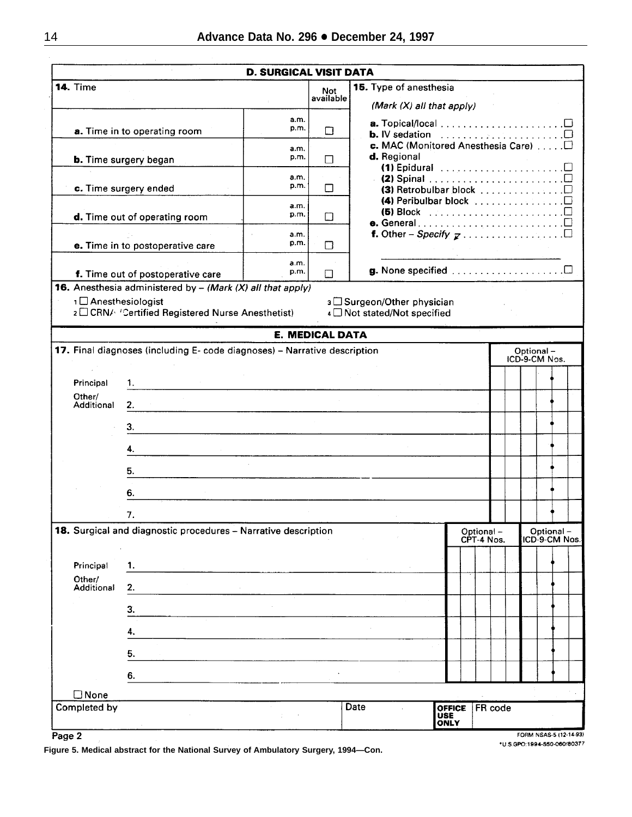|                             |                                                                                                          | <b>D. SURGICAL VISIT DATA</b> |                         |                                                                                                                                                                             |                                     |                         |  |                            |               |
|-----------------------------|----------------------------------------------------------------------------------------------------------|-------------------------------|-------------------------|-----------------------------------------------------------------------------------------------------------------------------------------------------------------------------|-------------------------------------|-------------------------|--|----------------------------|---------------|
| <b>14. Time</b>             |                                                                                                          |                               | <b>Not</b><br>available | 15. Type of anesthesia                                                                                                                                                      |                                     |                         |  |                            |               |
|                             | a. Time in to operating room                                                                             | a.m.<br>p.m.                  | $\Box$                  | (Mark (X) all that apply)<br><b>b.</b> IV sedation $\ldots \ldots \ldots \ldots \ldots \square$                                                                             |                                     |                         |  |                            |               |
|                             | <b>b.</b> Time surgery began                                                                             | a.m.<br>p.m.                  | П                       | d. Regional<br>(1) Epidural $\ldots \ldots \ldots \ldots \ldots \ldots \square$                                                                                             |                                     |                         |  |                            |               |
|                             | c. Time surgery ended                                                                                    | a.m.<br>p.m.                  | П                       | $\cdot$ (2) Spinal $\ldots \ldots \ldots \ldots \ldots \ldots \ldots \ldots \ldots$<br>(3) Retrobulbar block □<br>(4) Peribulbar block $\ldots \ldots \ldots \ldots \ldots$ |                                     |                         |  |                            |               |
|                             | d. Time out of operating room                                                                            | a.m.<br>p.m.                  | П                       | (5) Block $\ldots \ldots \ldots \ldots \ldots \ldots \ldots \ldots \ldots \ldots$                                                                                           |                                     |                         |  |                            |               |
|                             | e. Time in to postoperative care                                                                         | a.m.<br>p.m.                  | П                       |                                                                                                                                                                             |                                     |                         |  |                            |               |
|                             | f. Time out of postoperative care<br><b>16.</b> Anesthesia administered by $-$ (Mark (X) all that apply) | a.m.<br>p.m.                  | П                       |                                                                                                                                                                             |                                     |                         |  |                            |               |
| 1 Anesthesiologist          | 2 CRN/ 'Certified Registered Nurse Anesthetist)                                                          |                               |                         | 3 □ Surgeon/Other physician<br>4 Not stated/Not specified                                                                                                                   |                                     |                         |  |                            |               |
|                             |                                                                                                          |                               | <b>E. MEDICAL DATA</b>  |                                                                                                                                                                             |                                     |                         |  |                            |               |
|                             | 17. Final diagnoses (including E- code diagnoses) - Narrative description                                |                               |                         |                                                                                                                                                                             |                                     |                         |  | Optional-<br>ICD-9-CM Nos. |               |
| Principal                   | 1.                                                                                                       |                               |                         |                                                                                                                                                                             |                                     |                         |  |                            |               |
| Other/<br><b>Additional</b> | 2.                                                                                                       |                               |                         |                                                                                                                                                                             |                                     |                         |  |                            |               |
|                             | З.<br>4.                                                                                                 |                               |                         |                                                                                                                                                                             |                                     |                         |  |                            |               |
|                             | 5.                                                                                                       |                               |                         |                                                                                                                                                                             |                                     |                         |  |                            |               |
|                             | 6.                                                                                                       |                               |                         |                                                                                                                                                                             |                                     |                         |  |                            |               |
|                             | 7.                                                                                                       |                               |                         |                                                                                                                                                                             |                                     |                         |  |                            |               |
|                             | 18. Surgical and diagnostic procedures - Narrative description                                           |                               |                         |                                                                                                                                                                             |                                     | Optional-<br>CPT-4 Nos. |  | Optional-                  | ICD-9-CM Nos. |
| Principal<br>Other/         | 1.                                                                                                       |                               |                         |                                                                                                                                                                             |                                     |                         |  |                            |               |
| Additional                  | 2.<br>З.                                                                                                 |                               |                         |                                                                                                                                                                             |                                     |                         |  |                            |               |
|                             | 4.                                                                                                       |                               |                         |                                                                                                                                                                             |                                     |                         |  |                            |               |
|                             | 5.                                                                                                       |                               |                         |                                                                                                                                                                             |                                     |                         |  |                            |               |
|                             | 6.                                                                                                       |                               |                         |                                                                                                                                                                             |                                     |                         |  |                            |               |
| $\square$ None              |                                                                                                          |                               |                         |                                                                                                                                                                             |                                     |                         |  |                            |               |
| Completed by                |                                                                                                          |                               |                         | Date                                                                                                                                                                        | <b>OFFICE</b><br>USE<br><b>ONLY</b> | FR code                 |  |                            |               |

Page 2

**Figure 5. Medical abstract for the National Survey of Ambulatory Surgery, 1994—Con.**

FORM NSAS-5 (12-14-93) \*U.S.GPO:1994-550-060/80377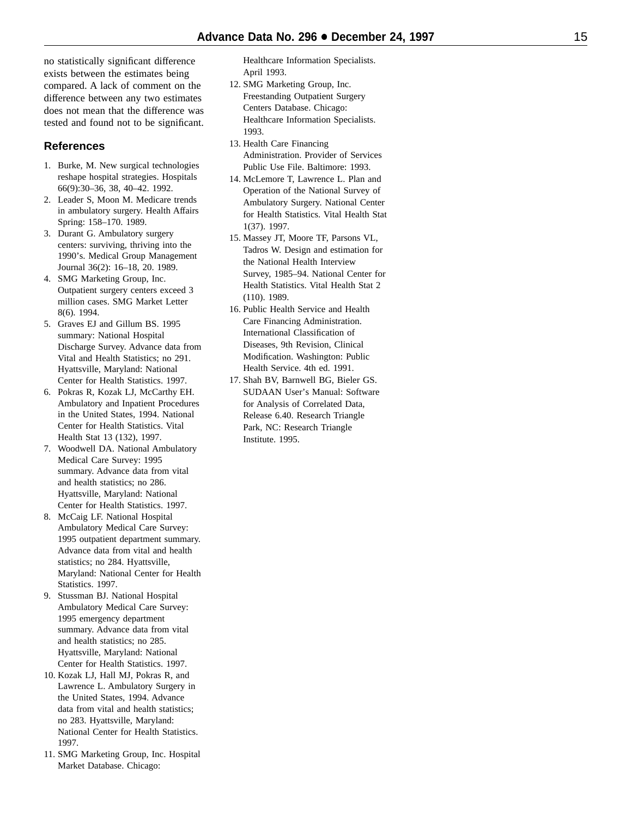no statistically significant difference exists between the estimates being compared. A lack of comment on the difference between any two estimates does not mean that the difference was tested and found not to be significant.

# **References**

- 1. Burke, M. New surgical technologies reshape hospital strategies. Hospitals 66(9):30–36, 38, 40–42. 1992.
- 2. Leader S, Moon M. Medicare trends in ambulatory surgery. Health Affairs Spring: 158–170. 1989.
- 3. Durant G. Ambulatory surgery centers: surviving, thriving into the 1990's. Medical Group Management Journal 36(2): 16–18, 20. 1989.
- 4. SMG Marketing Group, Inc. Outpatient surgery centers exceed 3 million cases. SMG Market Letter 8(6). 1994.
- 5. Graves EJ and Gillum BS. 1995 summary: National Hospital Discharge Survey. Advance data from Vital and Health Statistics; no 291. Hyattsville, Maryland: National Center for Health Statistics. 1997.
- 6. Pokras R, Kozak LJ, McCarthy EH. Ambulatory and Inpatient Procedures in the United States, 1994. National Center for Health Statistics. Vital Health Stat 13 (132), 1997.
- 7. Woodwell DA. National Ambulatory Medical Care Survey: 1995 summary. Advance data from vital and health statistics; no 286. Hyattsville, Maryland: National Center for Health Statistics. 1997.
- 8. McCaig LF. National Hospital Ambulatory Medical Care Survey: 1995 outpatient department summary. Advance data from vital and health statistics; no 284. Hyattsville, Maryland: National Center for Health Statistics. 1997.
- 9. Stussman BJ. National Hospital Ambulatory Medical Care Survey: 1995 emergency department summary. Advance data from vital and health statistics; no 285. Hyattsville, Maryland: National Center for Health Statistics. 1997.
- 10. Kozak LJ, Hall MJ, Pokras R, and Lawrence L. Ambulatory Surgery in the United States, 1994. Advance data from vital and health statistics; no 283. Hyattsville, Maryland: National Center for Health Statistics. 1997.
- 11. SMG Marketing Group, Inc. Hospital Market Database. Chicago:

Healthcare Information Specialists. April 1993.

- 12. SMG Marketing Group, Inc. Freestanding Outpatient Surgery Centers Database. Chicago: Healthcare Information Specialists. 1993.
- 13. Health Care Financing Administration. Provider of Services Public Use File. Baltimore: 1993.
- 14. McLemore T, Lawrence L. Plan and Operation of the National Survey of Ambulatory Surgery. National Center for Health Statistics. Vital Health Stat 1(37). 1997.
- 15. Massey JT, Moore TF, Parsons VL, Tadros W. Design and estimation for the National Health Interview Survey, 1985–94. National Center for Health Statistics. Vital Health Stat 2 (110). 1989.
- 16. Public Health Service and Health Care Financing Administration. International Classification of Diseases, 9th Revision, Clinical Modification. Washington: Public Health Service. 4th ed. 1991.
- 17. Shah BV, Barnwell BG, Bieler GS. SUDAAN User's Manual: Software for Analysis of Correlated Data, Release 6.40. Research Triangle Park, NC: Research Triangle Institute. 1995.